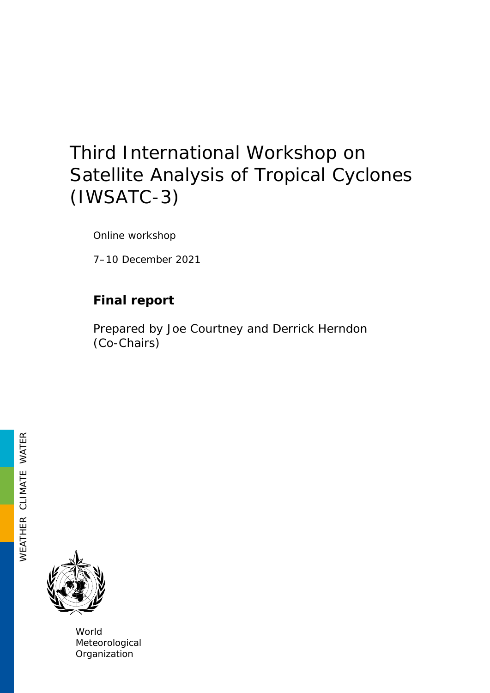# Third International Workshop on Satellite Analysis of Tropical Cyclones (IWSATC-3)

Online workshop

7–10 December 2021

# **Final report**

Prepared by Joe Courtney and Derrick Herndon (Co-Chairs)



World Meteorological Organization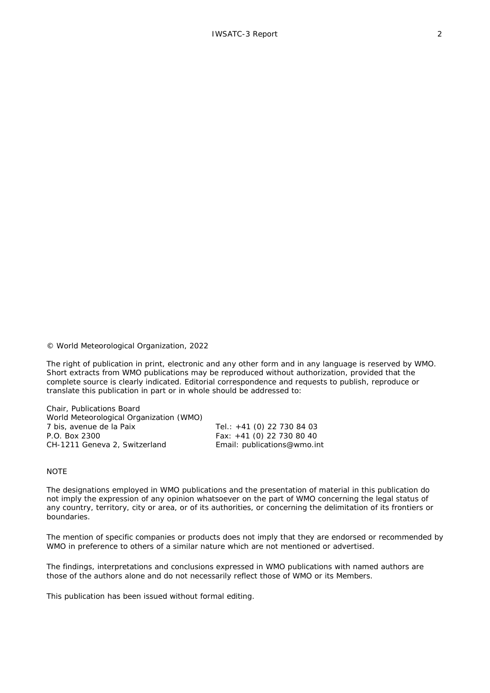© World Meteorological Organization, 2022

The right of publication in print, electronic and any other form and in any language is reserved by WMO. Short extracts from WMO publications may be reproduced without authorization, provided that the complete source is clearly indicated. Editorial correspondence and requests to publish, reproduce or translate this publication in part or in whole should be addressed to:

Chair, Publications Board World Meteorological Organization (WMO)<br>7 bis, avenue de la Paix 7 bis, avenue de la Paix Tel.: +41 (0) 22 730 84 03<br>P.O. Box 2300 Fax: +41 (0) 22 730 80 40 CH-1211 Geneva 2, Switzerland

Fax: +41 (0) 22 730 80 40<br>Email: publications@wmo.int

#### NOTE

The designations employed in WMO publications and the presentation of material in this publication do not imply the expression of any opinion whatsoever on the part of WMO concerning the legal status of any country, territory, city or area, or of its authorities, or concerning the delimitation of its frontiers or boundaries.

The mention of specific companies or products does not imply that they are endorsed or recommended by WMO in preference to others of a similar nature which are not mentioned or advertised.

The findings, interpretations and conclusions expressed in WMO publications with named authors are those of the authors alone and do not necessarily reflect those of WMO or its Members.

This publication has been issued without formal editing.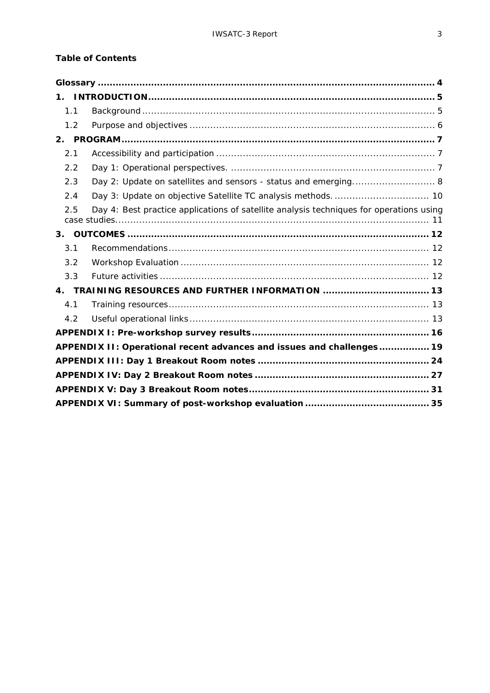# **Table of Contents**

| 1.1 |                                                                                         |  |
|-----|-----------------------------------------------------------------------------------------|--|
| 1.2 |                                                                                         |  |
|     |                                                                                         |  |
| 2.1 |                                                                                         |  |
| 2.2 |                                                                                         |  |
| 2.3 | Day 2: Update on satellites and sensors - status and emerging 8                         |  |
| 2.4 | Day 3: Update on objective Satellite TC analysis methods.  10                           |  |
| 2.5 | Day 4: Best practice applications of satellite analysis techniques for operations using |  |
|     |                                                                                         |  |
| 3.1 |                                                                                         |  |
| 3.2 |                                                                                         |  |
| 3.3 |                                                                                         |  |
|     | 4. TRAINING RESOURCES AND FURTHER INFORMATION  13                                       |  |
| 4.1 |                                                                                         |  |
| 4.2 |                                                                                         |  |
|     |                                                                                         |  |
|     | APPENDIX II: Operational recent advances and issues and challenges 19                   |  |
|     |                                                                                         |  |
|     |                                                                                         |  |
|     |                                                                                         |  |
|     |                                                                                         |  |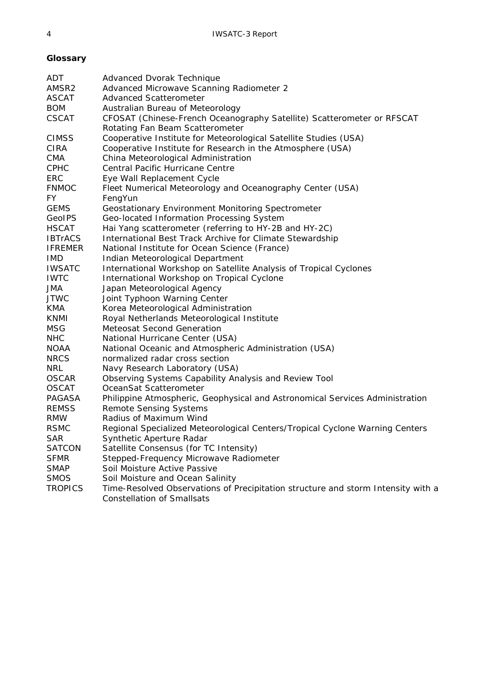# <span id="page-3-0"></span>**Glossary**

| <b>ADT</b>          | Advanced Dvorak Technique                                                                                             |
|---------------------|-----------------------------------------------------------------------------------------------------------------------|
| AMSR2               | Advanced Microwave Scanning Radiometer 2                                                                              |
| <b>ASCAT</b>        | <b>Advanced Scatterometer</b>                                                                                         |
| <b>BOM</b>          | Australian Bureau of Meteorology                                                                                      |
| <b>CSCAT</b>        | CFOSAT (Chinese-French Oceanography Satellite) Scatterometer or RFSCAT<br>Rotating Fan Beam Scatterometer             |
| <b>CIMSS</b>        | Cooperative Institute for Meteorological Satellite Studies (USA)                                                      |
| <b>CIRA</b>         | Cooperative Institute for Research in the Atmosphere (USA)                                                            |
| <b>CMA</b>          | China Meteorological Administration                                                                                   |
| <b>CPHC</b>         | Central Pacific Hurricane Centre                                                                                      |
| <b>ERC</b>          | Eye Wall Replacement Cycle                                                                                            |
| <b>FNMOC</b><br>FY. | Fleet Numerical Meteorology and Oceanography Center (USA)<br>FengYun                                                  |
| <b>GEMS</b>         | Geostationary Environment Monitoring Spectrometer                                                                     |
| GeoIPS              | Geo-located Information Processing System                                                                             |
| <b>HSCAT</b>        | Hai Yang scatterometer (referring to HY-2B and HY-2C)                                                                 |
| <b>IBTrACS</b>      | International Best Track Archive for Climate Stewardship                                                              |
| <b>IFREMER</b>      | National Institute for Ocean Science (France)                                                                         |
| <b>IMD</b>          | Indian Meteorological Department                                                                                      |
| <b>IWSATC</b>       | International Workshop on Satellite Analysis of Tropical Cyclones                                                     |
| <b>IWTC</b>         | International Workshop on Tropical Cyclone                                                                            |
| <b>JMA</b>          | Japan Meteorological Agency                                                                                           |
| <b>JTWC</b>         | Joint Typhoon Warning Center                                                                                          |
| <b>KMA</b>          | Korea Meteorological Administration                                                                                   |
| KNMI                | Royal Netherlands Meteorological Institute                                                                            |
| <b>MSG</b>          | Meteosat Second Generation                                                                                            |
| <b>NHC</b>          | National Hurricane Center (USA)                                                                                       |
| <b>NOAA</b>         | National Oceanic and Atmospheric Administration (USA)                                                                 |
| <b>NRCS</b>         | normalized radar cross section                                                                                        |
| <b>NRL</b>          | Navy Research Laboratory (USA)                                                                                        |
| <b>OSCAR</b>        | Observing Systems Capability Analysis and Review Tool                                                                 |
| <b>OSCAT</b>        | OceanSat Scatterometer                                                                                                |
| PAGASA              | Philippine Atmospheric, Geophysical and Astronomical Services Administration                                          |
| <b>REMSS</b>        | <b>Remote Sensing Systems</b>                                                                                         |
| <b>RMW</b>          | Radius of Maximum Wind                                                                                                |
| <b>RSMC</b>         | Regional Specialized Meteorological Centers/Tropical Cyclone Warning Centers                                          |
| <b>SAR</b>          | Synthetic Aperture Radar                                                                                              |
| <b>SATCON</b>       | Satellite Consensus (for TC Intensity)                                                                                |
| <b>SFMR</b>         | Stepped-Frequency Microwave Radiometer                                                                                |
| <b>SMAP</b>         | Soil Moisture Active Passive                                                                                          |
| <b>SMOS</b>         | Soil Moisture and Ocean Salinity                                                                                      |
| <b>TROPICS</b>      | Time-Resolved Observations of Precipitation structure and storm Intensity with a<br><b>Constellation of Smallsats</b> |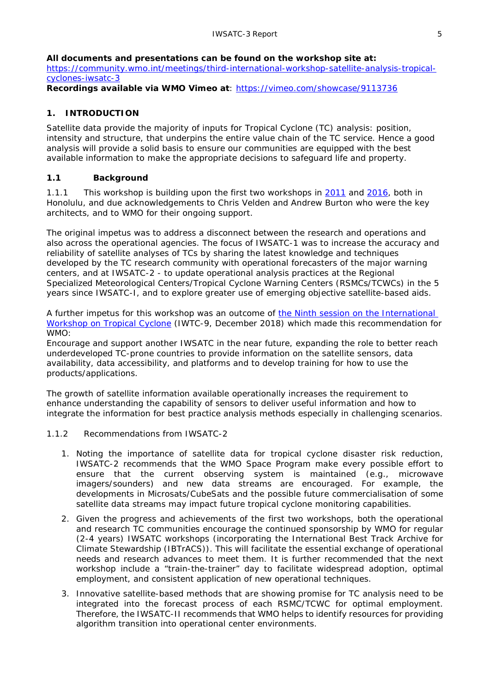# **All documents and presentations can be found on the workshop site at:**

[https://community.wmo.int/meetings/third-international-workshop-satellite-analysis-tropical](https://community.wmo.int/meetings/third-international-workshop-satellite-analysis-tropical-cyclones-iwsatc-3)[cyclones-iwsatc-3](https://community.wmo.int/meetings/third-international-workshop-satellite-analysis-tropical-cyclones-iwsatc-3)

<span id="page-4-0"></span>**Recordings available via WMO Vimeo at**: [https://vimeo.com/showcase/9113736](https://aus01.safelinks.protection.outlook.com/?url=https%3A%2F%2Fvimeo.com%2Fshowcase%2F9113736&data=04%7C01%7Cjoe.courtney%40bom.gov.au%7C9b9a2a3907144aa9689708d9dbf65620%7Cd1ad7db597dd4f2b816e50d663b7bb94%7C0%7C0%7C637782673327382467%7CUnknown%7CTWFpbGZsb3d8eyJWIjoiMC4wLjAwMDAiLCJQIjoiV2luMzIiLCJBTiI6Ik1haWwiLCJXVCI6Mn0%3D%7C3000&sdata=zZQZZ3P4kcixHG0o%2B%2BK6pSsanRhdS40wLmKhvkmo4Ic%3D&reserved=0)

# **1. INTRODUCTION**

Satellite data provide the majority of inputs for Tropical Cyclone (TC) analysis: position, intensity and structure, that underpins the entire value chain of the TC service. Hence a good analysis will provide a solid basis to ensure our communities are equipped with the best available information to make the appropriate decisions to safeguard life and property.

# <span id="page-4-1"></span>**1.1 Background**

1.1.1 This workshop is building upon the first two workshops in [2011](https://library.wmo.int/index.php?lvl=notice_display&id=13045) and [2016,](https://library.wmo.int/index.php?lvl=notice_display&id=19522) both in Honolulu, and due acknowledgements to Chris Velden and Andrew Burton who were the key architects, and to WMO for their ongoing support.

The original impetus was to address a disconnect between the research and operations and also across the operational agencies. The focus of IWSATC-1 was to increase the accuracy and reliability of satellite analyses of TCs by sharing the latest knowledge and techniques developed by the TC research community with operational forecasters of the major warning centers, and at IWSATC-2 - to update operational analysis practices at the Regional Specialized Meteorological Centers/Tropical Cyclone Warning Centers (RSMCs/TCWCs) in the 5 years since IWSATC-I, and to explore greater use of emerging objective satellite-based aids.

A further impetus for this workshop was an outcome of [the Ninth session on the International](https://library.wmo.int/doc_num.php?explnum_id=11006)  [Workshop on Tropical Cyclone](https://library.wmo.int/doc_num.php?explnum_id=11006) (IWTC-9, December 2018) which made this recommendation for WMO:

*Encourage and support another IWSATC in the near future, expanding the role to better reach underdeveloped TC-prone countries to provide information on the satellite sensors, data availability, data accessibility, and platforms and to develop training for how to use the products/applications.*

The growth of satellite information available operationally increases the requirement to enhance understanding the capability of sensors to deliver useful information and how to integrate the information for best practice analysis methods especially in challenging scenarios.

- 1.1.2 Recommendations from IWSATC-2
	- 1. Noting the importance of satellite data for tropical cyclone disaster risk reduction, IWSATC-2 recommends that the WMO Space Program make every possible effort to ensure that the current observing system is maintained (e.g., microwave imagers/sounders) and new data streams are encouraged. For example, the developments in Microsats/CubeSats and the possible future commercialisation of some satellite data streams may impact future tropical cyclone monitoring capabilities.
	- 2. Given the progress and achievements of the first two workshops, both the operational and research TC communities encourage the continued sponsorship by WMO for regular (2-4 years) IWSATC workshops (incorporating the International Best Track Archive for Climate Stewardship (IBTrACS)). This will facilitate the essential exchange of operational needs and research advances to meet them. It is further recommended that the next workshop include a "train-the-trainer" day to facilitate widespread adoption, optimal employment, and consistent application of new operational techniques.
	- 3. Innovative satellite-based methods that are showing promise for TC analysis need to be integrated into the forecast process of each RSMC/TCWC for optimal employment. Therefore, the IWSATC-II recommends that WMO helps to identify resources for providing algorithm transition into operational center environments.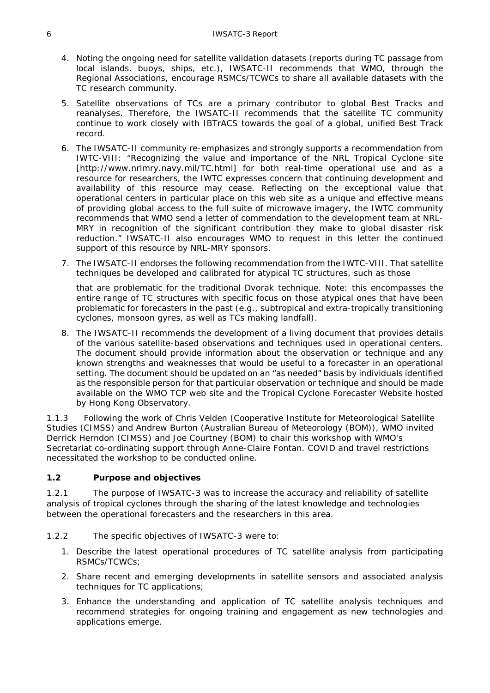- 4. Noting the ongoing need for satellite validation datasets (reports during TC passage from local islands. buoys, ships, etc.), IWSATC-II recommends that WMO, through the Regional Associations, encourage RSMCs/TCWCs to share all available datasets with the TC research community.
- 5. Satellite observations of TCs are a primary contributor to global Best Tracks and reanalyses. Therefore, the IWSATC-II recommends that the satellite TC community continue to work closely with IBTrACS towards the goal of a global, unified Best Track record.
- 6. The IWSATC-II community re-emphasizes and strongly supports a recommendation from IWTC-VIII: "Recognizing the value and importance of the NRL Tropical Cyclone site [http://www.nrlmry.navy.mil/TC.html] for both real-time operational use and as a resource for researchers, the IWTC expresses concern that continuing development and availability of this resource may cease. Reflecting on the exceptional value that operational centers in particular place on this web site as a unique and effective means of providing global access to the full suite of microwave imagery, the IWTC community recommends that WMO send a letter of commendation to the development team at NRL-MRY in recognition of the significant contribution they make to global disaster risk reduction." IWSATC-II also encourages WMO to request in this letter the continued support of this resource by NRL-MRY sponsors.
- 7. The IWSATC-II endorses the following recommendation from the IWTC-VIII. That satellite techniques be developed and calibrated for atypical TC structures, such as those

that are problematic for the traditional Dvorak technique. Note: this encompasses the entire range of TC structures with specific focus on those atypical ones that have been problematic for forecasters in the past (e.g., subtropical and extra-tropically transitioning cyclones, monsoon gyres, as well as TCs making landfall).

8. The IWSATC-II recommends the development of a living document that provides details of the various satellite-based observations and techniques used in operational centers. The document should provide information about the observation or technique and any known strengths and weaknesses that would be useful to a forecaster in an operational setting. The document should be updated on an "as needed" basis by individuals identified as the responsible person for that particular observation or technique and should be made available on the WMO TCP web site and the Tropical Cyclone Forecaster Website hosted by Hong Kong Observatory.

1.1.3 Following the work of Chris Velden (Cooperative Institute for Meteorological Satellite Studies (CIMSS) and Andrew Burton (Australian Bureau of Meteorology (BOM)), WMO invited Derrick Herndon (CIMSS) and Joe Courtney (BOM) to chair this workshop with WMO's Secretariat co-ordinating support through Anne-Claire Fontan. COVID and travel restrictions necessitated the workshop to be conducted online.

#### <span id="page-5-0"></span>**1.2 Purpose and objectives**

1.2.1 The purpose of IWSATC-3 was to increase the accuracy and reliability of satellite analysis of tropical cyclones through the sharing of the latest knowledge and technologies between the operational forecasters and the researchers in this area.

- 1.2.2 The specific objectives of IWSATC-3 were to:
	- 1. Describe the latest operational procedures of TC satellite analysis from participating RSMCs/TCWCs;
	- 2. Share recent and emerging developments in satellite sensors and associated analysis techniques for TC applications;
	- 3. Enhance the understanding and application of TC satellite analysis techniques and recommend strategies for ongoing training and engagement as new technologies and applications emerge.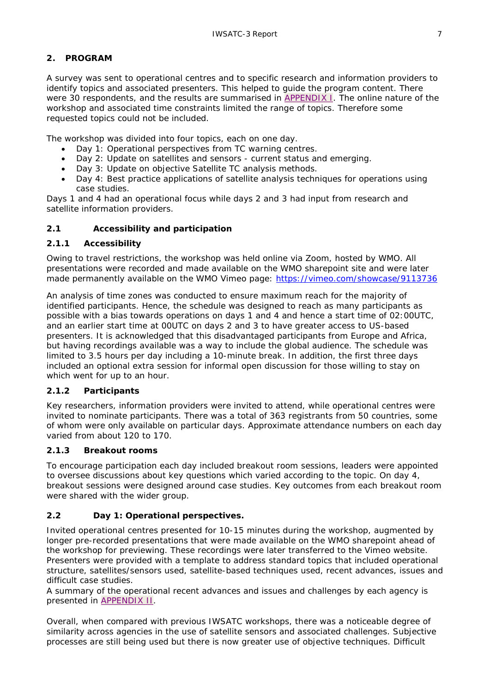# <span id="page-6-0"></span>**2. PROGRAM**

A survey was sent to operational centres and to specific research and information providers to identify topics and associated presenters. This helped to guide the program content. There were 30 respondents, and the results are summarised in **APPENDIX I**. The online nature of the workshop and associated time constraints limited the range of topics. Therefore some requested topics could not be included.

The workshop was divided into four topics, each on one day.

- Day 1: Operational perspectives from TC warning centres.
	- Day 2: Update on satellites and sensors current status and emerging.
- Day 3: Update on objective Satellite TC analysis methods.
- Day 4: Best practice applications of satellite analysis techniques for operations using case studies.

Days 1 and 4 had an operational focus while days 2 and 3 had input from research and satellite information providers.

# <span id="page-6-1"></span>**2.1 Accessibility and participation**

# *2.1.1 Accessibility*

Owing to travel restrictions, the workshop was held online via Zoom, hosted by WMO. All presentations were recorded and made available on the WMO sharepoint site and were later made permanently available on the WMO Vimeo page: [https://vimeo.com/showcase/9113736](https://aus01.safelinks.protection.outlook.com/?url=https%3A%2F%2Fvimeo.com%2Fshowcase%2F9113736&data=04%7C01%7Cjoe.courtney%40bom.gov.au%7C9b9a2a3907144aa9689708d9dbf65620%7Cd1ad7db597dd4f2b816e50d663b7bb94%7C0%7C0%7C637782673327382467%7CUnknown%7CTWFpbGZsb3d8eyJWIjoiMC4wLjAwMDAiLCJQIjoiV2luMzIiLCJBTiI6Ik1haWwiLCJXVCI6Mn0%3D%7C3000&sdata=zZQZZ3P4kcixHG0o%2B%2BK6pSsanRhdS40wLmKhvkmo4Ic%3D&reserved=0)

An analysis of time zones was conducted to ensure maximum reach for the majority of identified participants. Hence, the schedule was designed to reach as many participants as possible with a bias towards operations on days 1 and 4 and hence a start time of 02:00UTC, and an earlier start time at 00UTC on days 2 and 3 to have greater access to US-based presenters. It is acknowledged that this disadvantaged participants from Europe and Africa, but having recordings available was a way to include the global audience. The schedule was limited to 3.5 hours per day including a 10-minute break. In addition, the first three days included an optional extra session for informal open discussion for those willing to stay on which went for up to an hour.

# *2.1.2 Participants*

Key researchers, information providers were invited to attend, while operational centres were invited to nominate participants. There was a total of 363 registrants from 50 countries, some of whom were only available on particular days. Approximate attendance numbers on each day varied from about 120 to 170.

# *2.1.3 Breakout rooms*

To encourage participation each day included breakout room sessions, leaders were appointed to oversee discussions about key questions which varied according to the topic. On day 4, breakout sessions were designed around case studies. Key outcomes from each breakout room were shared with the wider group.

# <span id="page-6-2"></span>**2.2 Day 1: Operational perspectives.**

Invited operational centres presented for 10-15 minutes during the workshop, augmented by longer pre-recorded presentations that were made available on the WMO sharepoint ahead of the workshop for previewing. These recordings were later transferred to the Vimeo website. Presenters were provided with a template to address standard topics that included operational structure, satellites/sensors used, satellite-based techniques used, recent advances, issues and difficult case studies.

A summary of the operational recent advances and issues and challenges by each agency is presented in [APPENDIX II.](#page-18-0)

Overall, when compared with previous IWSATC workshops, there was a noticeable degree of similarity across agencies in the use of satellite sensors and associated challenges. Subjective processes are still being used but there is now greater use of objective techniques. Difficult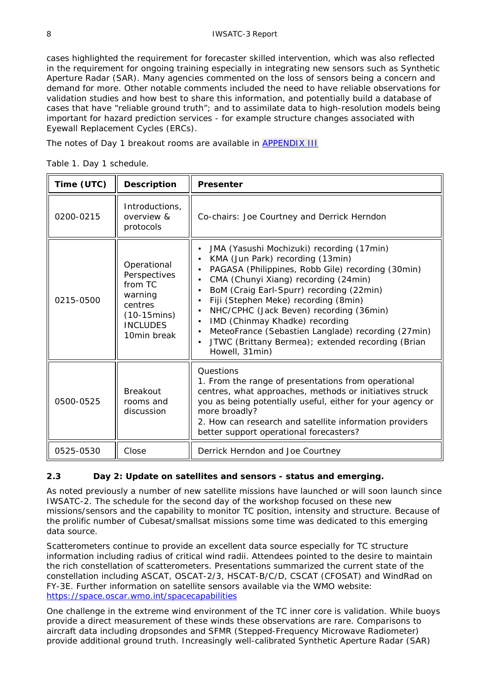cases highlighted the requirement for forecaster skilled intervention, which was also reflected in the requirement for ongoing training especially in integrating new sensors such as Synthetic Aperture Radar (SAR). Many agencies commented on the loss of sensors being a concern and demand for more. Other notable comments included the need to have reliable observations for validation studies and how best to share this information, and potentially build a database of cases that have "reliable ground truth"; and to assimilate data to high-resolution models being important for hazard prediction services - for example structure changes associated with Eyewall Replacement Cycles (ERCs).

The notes of Day 1 breakout rooms are available in [APPENDIX III](#page-23-0)

|  |  |  |  | Table 1. Day 1 schedule. |
|--|--|--|--|--------------------------|
|--|--|--|--|--------------------------|

| Time (UTC) | <b>Description</b>                                                                                          | <b>Presenter</b>                                                                                                                                                                                                                                                                                                                                                                                                                                                         |
|------------|-------------------------------------------------------------------------------------------------------------|--------------------------------------------------------------------------------------------------------------------------------------------------------------------------------------------------------------------------------------------------------------------------------------------------------------------------------------------------------------------------------------------------------------------------------------------------------------------------|
| 0200-0215  | Introductions,<br>overview &<br>protocols                                                                   | Co-chairs: Joe Courtney and Derrick Herndon                                                                                                                                                                                                                                                                                                                                                                                                                              |
| 0215-0500  | Operational<br>Perspectives<br>from TC<br>warning<br>centres<br>$(10-15)$<br><b>INCLUDES</b><br>10min break | JMA (Yasushi Mochizuki) recording (17min)<br>KMA (Jun Park) recording (13min)<br>PAGASA (Philippines, Robb Gile) recording (30min)<br>CMA (Chunyi Xiang) recording (24min)<br>BoM (Craig Earl-Spurr) recording (22min)<br>Fiji (Stephen Meke) recording (8min)<br>NHC/CPHC (Jack Beven) recording (36min)<br>IMD (Chinmay Khadke) recording<br>MeteoFrance (Sebastien Langlade) recording (27min)<br>JTWC (Brittany Bermea); extended recording (Brian<br>Howell, 31min) |
| 0500-0525  | <b>Breakout</b><br>rooms and<br>discussion                                                                  | Questions<br>1. From the range of presentations from operational<br>centres, what approaches, methods or initiatives struck<br>you as being potentially useful, either for your agency or<br>more broadly?<br>2. How can research and satellite information providers<br>better support operational forecasters?                                                                                                                                                         |
| 0525-0530  | Close                                                                                                       | Derrick Herndon and Joe Courtney                                                                                                                                                                                                                                                                                                                                                                                                                                         |

#### <span id="page-7-0"></span>**2.3 Day 2: Update on satellites and sensors - status and emerging.**

As noted previously a number of new satellite missions have launched or will soon launch since IWSATC-2. The schedule for the second day of the workshop focused on these new missions/sensors and the capability to monitor TC position, intensity and structure. Because of the prolific number of Cubesat/smallsat missions some time was dedicated to this emerging data source.

Scatterometers continue to provide an excellent data source especially for TC structure information including radius of critical wind radii. Attendees pointed to the desire to maintain the rich constellation of scatterometers. Presentations summarized the current state of the constellation including ASCAT, OSCAT-2/3, HSCAT-B/C/D, CSCAT (CFOSAT) and WindRad on FY-3E. Further information on satellite sensors available via the WMO website: <https://space.oscar.wmo.int/spacecapabilities>

One challenge in the extreme wind environment of the TC inner core is validation. While buoys provide a direct measurement of these winds these observations are rare. Comparisons to aircraft data including dropsondes and SFMR (Stepped-Frequency Microwave Radiometer) provide additional ground truth. Increasingly well-calibrated Synthetic Aperture Radar (SAR)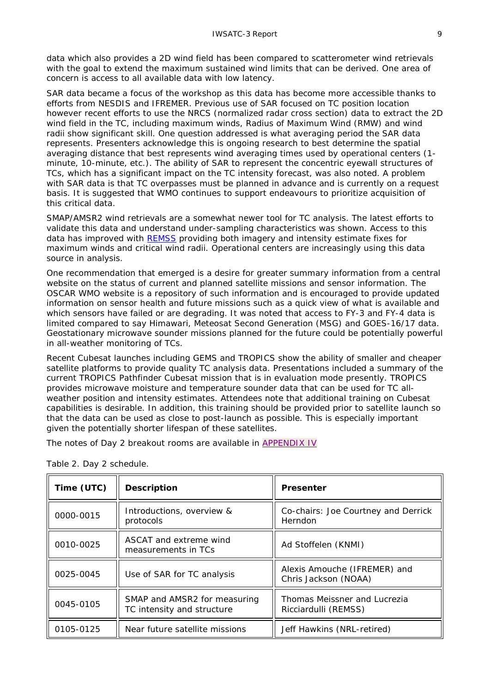data which also provides a 2D wind field has been compared to scatterometer wind retrievals with the goal to extend the maximum sustained wind limits that can be derived. One area of concern is access to all available data with low latency.

SAR data became a focus of the workshop as this data has become more accessible thanks to efforts from NESDIS and IFREMER. Previous use of SAR focused on TC position location however recent efforts to use the NRCS (normalized radar cross section) data to extract the 2D wind field in the TC, including maximum winds, Radius of Maximum Wind (RMW) and wind radii show significant skill. One question addressed is what averaging period the SAR data represents. Presenters acknowledge this is ongoing research to best determine the spatial averaging distance that best represents wind averaging times used by operational centers (1 minute, 10-minute, etc.). The ability of SAR to represent the concentric eyewall structures of TCs, which has a significant impact on the TC intensity forecast, was also noted. A problem with SAR data is that TC overpasses must be planned in advance and is currently on a request basis. It is suggested that WMO continues to support endeavours to prioritize acquisition of this critical data.

SMAP/AMSR2 wind retrievals are a somewhat newer tool for TC analysis. The latest efforts to validate this data and understand under-sampling characteristics was shown. Access to this data has improved with **REMSS** providing both imagery and intensity estimate fixes for maximum winds and critical wind radii. Operational centers are increasingly using this data source in analysis.

One recommendation that emerged is a desire for greater summary information from a central website on the status of current and planned satellite missions and sensor information. The OSCAR WMO website is a repository of such information and is encouraged to provide updated information on sensor health and future missions such as a quick view of what is available and which sensors have failed or are degrading. It was noted that access to FY-3 and FY-4 data is limited compared to say Himawari, Meteosat Second Generation (MSG) and GOES-16/17 data. Geostationary microwave sounder missions planned for the future could be potentially powerful in all-weather monitoring of TCs.

Recent Cubesat launches including GEMS and TROPICS show the ability of smaller and cheaper satellite platforms to provide quality TC analysis data. Presentations included a summary of the current TROPICS Pathfinder Cubesat mission that is in evaluation mode presently. TROPICS provides microwave moisture and temperature sounder data that can be used for TC allweather position and intensity estimates. Attendees note that additional training on Cubesat capabilities is desirable. In addition, this training should be provided prior to satellite launch so that the data can be used as close to post-launch as possible. This is especially important given the potentially shorter lifespan of these satellites.

The notes of Day 2 breakout rooms are available in [APPENDIX IV](#page-26-0)

| Time (UTC) | <b>Description</b>                                         | <b>Presenter</b>                                     |  |
|------------|------------------------------------------------------------|------------------------------------------------------|--|
| 0000-0015  | Introductions, overview &<br>protocols                     | Co-chairs: Joe Courtney and Derrick<br>Herndon       |  |
| 0010-0025  | ASCAT and extreme wind<br>measurements in TCs              | Ad Stoffelen (KNMI)                                  |  |
| 0025-0045  | Use of SAR for TC analysis                                 | Alexis Amouche (IFREMER) and<br>Chris Jackson (NOAA) |  |
| 0045-0105  | SMAP and AMSR2 for measuring<br>TC intensity and structure | Thomas Meissner and Lucrezia<br>Ricciardulli (REMSS) |  |
| 0105-0125  | Near future satellite missions                             | Jeff Hawkins (NRL-retired)                           |  |

*Table 2. Day 2 schedule.*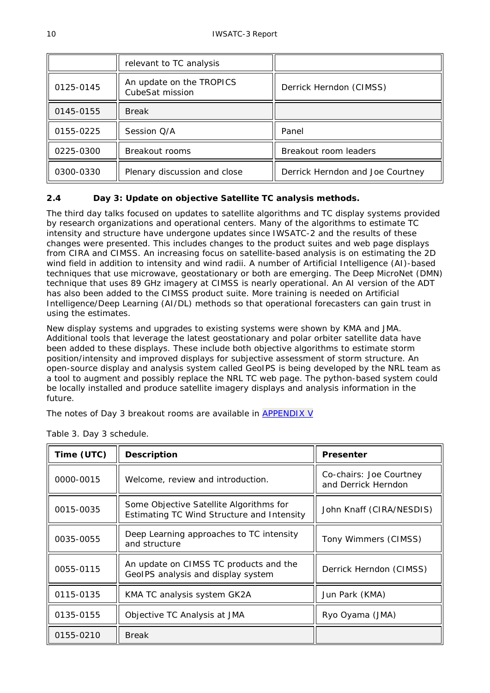|           | relevant to TC analysis                     |                                  |
|-----------|---------------------------------------------|----------------------------------|
| 0125-0145 | An update on the TROPICS<br>CubeSat mission | Derrick Herndon (CIMSS)          |
| 0145-0155 | <b>Break</b>                                |                                  |
| 0155-0225 | Session O/A                                 | Panel                            |
| 0225-0300 | Breakout rooms                              | Breakout room leaders            |
| 0300-0330 | Plenary discussion and close                | Derrick Herndon and Joe Courtney |

# <span id="page-9-0"></span>**2.4 Day 3: Update on objective Satellite TC analysis methods.**

The third day talks focused on updates to satellite algorithms and TC display systems provided by research organizations and operational centers. Many of the algorithms to estimate TC intensity and structure have undergone updates since IWSATC-2 and the results of these changes were presented. This includes changes to the product suites and web page displays from CIRA and CIMSS. An increasing focus on satellite-based analysis is on estimating the 2D wind field in addition to intensity and wind radii. A number of Artificial Intelligence (AI)-based techniques that use microwave, geostationary or both are emerging. The Deep MicroNet (DMN) technique that uses 89 GHz imagery at CIMSS is nearly operational. An AI version of the ADT has also been added to the CIMSS product suite. More training is needed on Artificial Intelligence/Deep Learning (AI/DL) methods so that operational forecasters can gain trust in using the estimates.

New display systems and upgrades to existing systems were shown by KMA and JMA. Additional tools that leverage the latest geostationary and polar orbiter satellite data have been added to these displays. These include both objective algorithms to estimate storm position/intensity and improved displays for subjective assessment of storm structure. An open-source display and analysis system called GeoIPS is being developed by the NRL team as a tool to augment and possibly replace the NRL TC web page. The python-based system could be locally installed and produce satellite imagery displays and analysis information in the future.

The notes of Day 3 breakout rooms are available in **APPENDIX V** 

| Time (UTC)<br><b>Description</b> |                                                                                       | Presenter                                      |  |
|----------------------------------|---------------------------------------------------------------------------------------|------------------------------------------------|--|
| 0000-0015                        | Welcome, review and introduction.                                                     | Co-chairs: Joe Courtney<br>and Derrick Herndon |  |
| 0015-0035                        | Some Objective Satellite Algorithms for<br>Estimating TC Wind Structure and Intensity | John Knaff (CIRA/NESDIS)                       |  |
| 0035-0055                        | Deep Learning approaches to TC intensity<br>and structure                             | Tony Wimmers (CIMSS)                           |  |
| 0055-0115                        | An update on CIMSS TC products and the<br>GeoIPS analysis and display system          | Derrick Herndon (CIMSS)                        |  |
| 0115-0135                        | KMA TC analysis system GK2A                                                           | Jun Park (KMA)                                 |  |
| 0135-0155                        | Objective TC Analysis at JMA                                                          | Ryo Oyama (JMA)                                |  |
| 0155-0210                        | <b>Break</b>                                                                          |                                                |  |

#### *Table 3. Day 3 schedule.*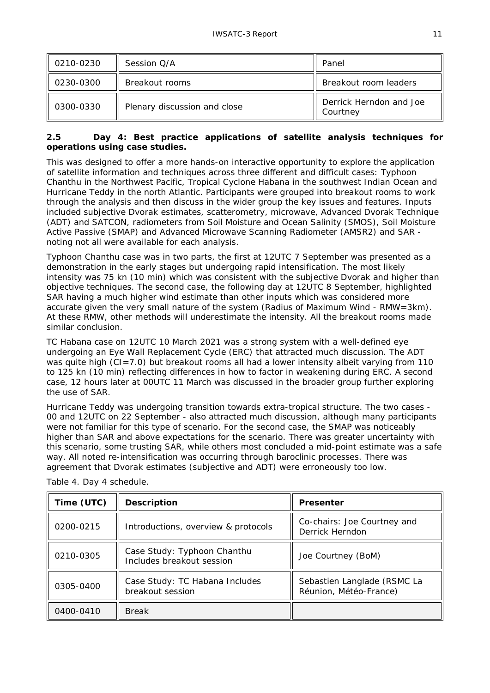| 0210-0230<br>Session Q/A |                              | Panel                               |  |
|--------------------------|------------------------------|-------------------------------------|--|
| 0230-0300                | Breakout rooms               | Breakout room leaders               |  |
| 0300-0330                | Plenary discussion and close | Derrick Herndon and Joe<br>Courtney |  |

#### <span id="page-10-0"></span>**2.5 Day 4: Best practice applications of satellite analysis techniques for operations using case studies.**

This was designed to offer a more hands-on interactive opportunity to explore the application of satellite information and techniques across three different and difficult cases: Typhoon Chanthu in the Northwest Pacific, Tropical Cyclone Habana in the southwest Indian Ocean and Hurricane Teddy in the north Atlantic. Participants were grouped into breakout rooms to work through the analysis and then discuss in the wider group the key issues and features. Inputs included subjective Dvorak estimates, scatterometry, microwave, Advanced Dvorak Technique (ADT) and SATCON, radiometers from Soil Moisture and Ocean Salinity (SMOS), Soil Moisture Active Passive (SMAP) and [Advanced Microwave Scanning Radiometer](https://earthdata.nasa.gov/eosdis/sips/amsr-sips) (AMSR2) and SAR noting not all were available for each analysis.

Typhoon Chanthu case was in two parts, the first at 12UTC 7 September was presented as a demonstration in the early stages but undergoing rapid intensification. The most likely intensity was 75 kn (10 min) which was consistent with the subjective Dvorak and higher than objective techniques. The second case, the following day at 12UTC 8 September, highlighted SAR having a much higher wind estimate than other inputs which was considered more accurate given the very small nature of the system (Radius of Maximum Wind - RMW=3km). At these RMW, other methods will underestimate the intensity. All the breakout rooms made similar conclusion.

TC Habana case on 12UTC 10 March 2021 was a strong system with a well-defined eye undergoing an Eye Wall Replacement Cycle (ERC) that attracted much discussion. The ADT was quite high  $(CI=7.0)$  but breakout rooms all had a lower intensity albeit varying from 110 to 125 kn (10 min) reflecting differences in how to factor in weakening during ERC. A second case, 12 hours later at 00UTC 11 March was discussed in the broader group further exploring the use of SAR.

Hurricane Teddy was undergoing transition towards extra-tropical structure. The two cases - 00 and 12UTC on 22 September - also attracted much discussion, although many participants were not familiar for this type of scenario. For the second case, the SMAP was noticeably higher than SAR and above expectations for the scenario. There was greater uncertainty with this scenario, some trusting SAR, while others most concluded a mid-point estimate was a safe way. All noted re-intensification was occurring through baroclinic processes. There was agreement that Dvorak estimates (subjective and ADT) were erroneously too low.

| Time (UTC)                                                            | <b>Description</b>                  | <b>Presenter</b>                                      |  |
|-----------------------------------------------------------------------|-------------------------------------|-------------------------------------------------------|--|
| 0200-0215                                                             | Introductions, overview & protocols | Co-chairs: Joe Courtney and<br>Derrick Herndon        |  |
| Case Study: Typhoon Chanthu<br>0210-0305<br>Includes breakout session |                                     | Joe Courtney (BoM)                                    |  |
| Case Study: TC Habana Includes<br>0305-0400<br>breakout session       |                                     | Sebastien Langlade (RSMC La<br>Réunion, Météo-France) |  |
| 0400-0410                                                             | <b>Break</b>                        |                                                       |  |

*Table 4. Day 4 schedule.*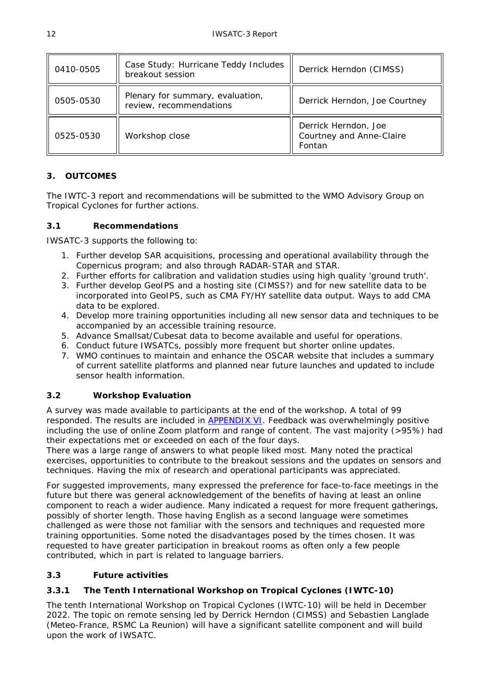| 0410-0505                                                                | Case Study: Hurricane Teddy Includes<br>breakout session | Derrick Herndon (CIMSS)                                    |  |
|--------------------------------------------------------------------------|----------------------------------------------------------|------------------------------------------------------------|--|
| Plenary for summary, evaluation,<br>0505-0530<br>review, recommendations |                                                          | Derrick Herndon, Joe Courtney                              |  |
| 0525-0530                                                                | Workshop close                                           | Derrick Herndon, Joe<br>Courtney and Anne-Claire<br>Fontan |  |

# <span id="page-11-0"></span>**3. OUTCOMES**

The IWTC-3 report and recommendations will be submitted to the WMO Advisory Group on Tropical Cyclones for further actions.

# <span id="page-11-1"></span>**3.1 Recommendations**

IWSATC-3 supports the following to:

- 1. Further develop SAR acquisitions, processing and operational availability through the Copernicus program; and also through RADAR-STAR and STAR.
- 2. Further efforts for calibration and validation studies using high quality 'ground truth'.
- 3. Further develop GeoIPS and a hosting site (CIMSS?) and for new satellite data to be incorporated into GeoIPS, such as CMA FY/HY satellite data output. Ways to add CMA data to be explored.
- 4. Develop more training opportunities including all new sensor data and techniques to be accompanied by an accessible training resource.
- 5. Advance Smallsat/Cubesat data to become available and useful for operations.
- 6. Conduct future IWSATCs, possibly more frequent but shorter online updates.
- 7. WMO continues to maintain and enhance the OSCAR website that includes a summary of current satellite platforms and planned near future launches and updated to include sensor health information.

# <span id="page-11-2"></span>**3.2 Workshop Evaluation**

A survey was made available to participants at the end of the workshop. A total of 99 responded. The results are included in [APPENDIX](#page-34-0) VI. Feedback was overwhelmingly positive including the use of online Zoom platform and range of content. The vast majority (>95%) had their expectations met or exceeded on each of the four days.

There was a large range of answers to what people liked most. Many noted the practical exercises, opportunities to contribute to the breakout sessions and the updates on sensors and techniques. Having the mix of research and operational participants was appreciated.

For suggested improvements, many expressed the preference for face-to-face meetings in the future but there was general acknowledgement of the benefits of having at least an online component to reach a wider audience. Many indicated a request for more frequent gatherings, possibly of shorter length. Those having English as a second language were sometimes challenged as were those not familiar with the sensors and techniques and requested more training opportunities. Some noted the disadvantages posed by the times chosen. It was requested to have greater participation in breakout rooms as often only a few people contributed, which in part is related to language barriers.

# <span id="page-11-3"></span>**3.3 Future activities**

# *3.3.1 The Tenth International Workshop on Tropical Cyclones (IWTC-10)*

The tenth International Workshop on Tropical Cyclones (IWTC-10) will be held in December 2022. The topic on remote sensing led by Derrick Herndon (CIMSS) and Sebastien Langlade (Meteo-France, RSMC La Reunion) will have a significant satellite component and will build upon the work of IWSATC.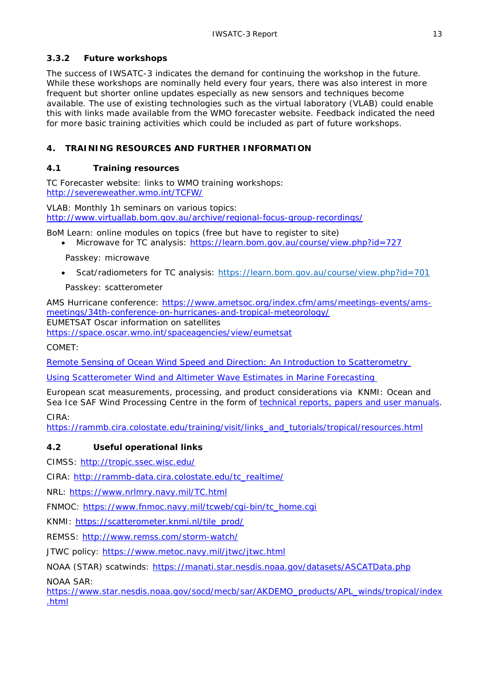# *3.3.2 Future workshops*

The success of IWSATC-3 indicates the demand for continuing the workshop in the future. While these workshops are nominally held every four years, there was also interest in more frequent but shorter online updates especially as new sensors and techniques become available. The use of existing technologies such as the virtual laboratory (VLAB) could enable this with links made available from the WMO forecaster website. Feedback indicated the need for more basic training activities which could be included as part of future workshops.

# <span id="page-12-0"></span>**4. TRAINING RESOURCES AND FURTHER INFORMATION**

# <span id="page-12-1"></span>**4.1 Training resources**

TC Forecaster website: links to WMO training workshops: <http://severeweather.wmo.int/TCFW/>

VLAB: Monthly 1h seminars on various topics: <http://www.virtuallab.bom.gov.au/archive/regional-focus-group-recordings/>

BoM Learn: online modules on topics (free but have to register to site)

• Microwave for TC analysis: [https://learn.bom.gov.au/course/view.php?id=727](https://aus01.safelinks.protection.outlook.com/?url=https%3A%2F%2Fno-click.mil%2F%3Fhttps%3A%2F%2Flearn.bom.gov.au%2Fcourse%2Fview.php%3Fid%3D727&data=04%7C01%7Cjoe.courtney%40bom.gov.au%7C44e4c8ef3ec044c14d3908d97eade367%7Cd1ad7db597dd4f2b816e50d663b7bb94%7C0%7C0%7C637680107587357396%7CUnknown%7CTWFpbGZsb3d8eyJWIjoiMC4wLjAwMDAiLCJQIjoiV2luMzIiLCJBTiI6Ik1haWwiLCJXVCI6Mn0%3D%7C1000&sdata=Gf%2BFY%2FrWam2GO7SsaXrA%2FY2w0JI67LHysWfeNgWDeVA%3D&reserved=0)

- Passkey: microwave
- Scat/radiometers for TC analysis:<https://learn.bom.gov.au/course/view.php?id=701>

Passkey: scatterometer

AMS Hurricane conference: [https://www.ametsoc.org/index.cfm/ams/meetings-events/ams](https://www.ametsoc.org/index.cfm/ams/meetings-events/ams-meetings/34th-conference-on-hurricanes-and-tropical-meteorology/)[meetings/34th-conference-on-hurricanes-and-tropical-meteorology/](https://www.ametsoc.org/index.cfm/ams/meetings-events/ams-meetings/34th-conference-on-hurricanes-and-tropical-meteorology/) EUMETSAT Oscar information on satellites

<https://space.oscar.wmo.int/spaceagencies/view/eumetsat>

COMET:

[Remote Sensing of Ocean Wind Speed and Direction: An Introduction to Scatterometry](https://www.meted.ucar.edu/training_module.php?id=148) 

[Using Scatterometer Wind and Altimeter Wave Estimates in Marine Forecasting](https://www.meted.ucar.edu/EUMETSAT/marine_forecasting/index.htm) 

European scat measurements, processing, and product considerations via KNMI: Ocean and Sea Ice SAF Wind Processing Centre in the form of [technical reports, papers and user manuals.](http://www.knmi.nl/scatterometer/publications/)

CIRA:

[https://rammb.cira.colostate.edu/training/visit/links\\_and\\_tutorials/tropical/resources.html](https://rammb.cira.colostate.edu/training/visit/links_and_tutorials/tropical/resources.html)

# <span id="page-12-2"></span>**4.2 Useful operational links**

CIMSS:<http://tropic.ssec.wisc.edu/>

CIRA: [http://rammb-data.cira.colostate.edu/tc\\_realtime/](http://rammb-data.cira.colostate.edu/tc_realtime/)

NRL: <https://www.nrlmry.navy.mil/TC.html>

FNMOC: [https://www.fnmoc.navy.mil/tcweb/cgi-bin/tc\\_home.cgi](https://www.fnmoc.navy.mil/tcweb/cgi-bin/tc_home.cgi)

KNMI: [https://scatterometer.knmi.nl/tile\\_prod/](https://scatterometer.knmi.nl/tile_prod/)

REMSS:<http://www.remss.com/storm-watch/>

JTWC policy:<https://www.metoc.navy.mil/jtwc/jtwc.html>

NOAA (STAR) scatwinds:<https://manati.star.nesdis.noaa.gov/datasets/ASCATData.php>

NOAA SAR:

[https://www.star.nesdis.noaa.gov/socd/mecb/sar/AKDEMO\\_products/APL\\_winds/tropical/index](https://www.star.nesdis.noaa.gov/socd/mecb/sar/AKDEMO_products/APL_winds/tropical/index.html) [.html](https://www.star.nesdis.noaa.gov/socd/mecb/sar/AKDEMO_products/APL_winds/tropical/index.html)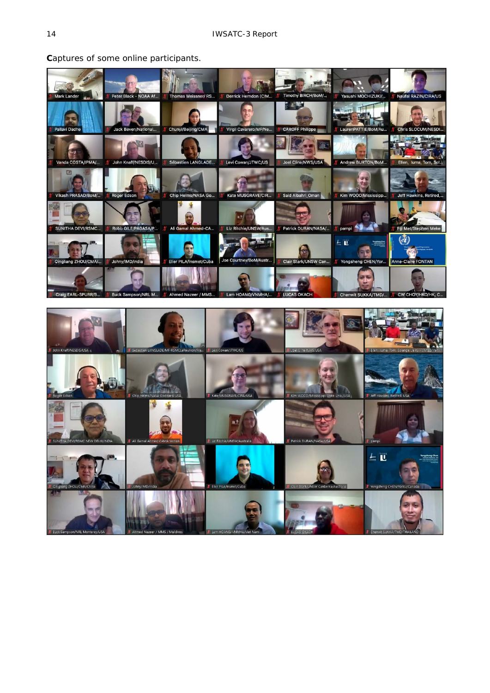*Captures of some online participants.*

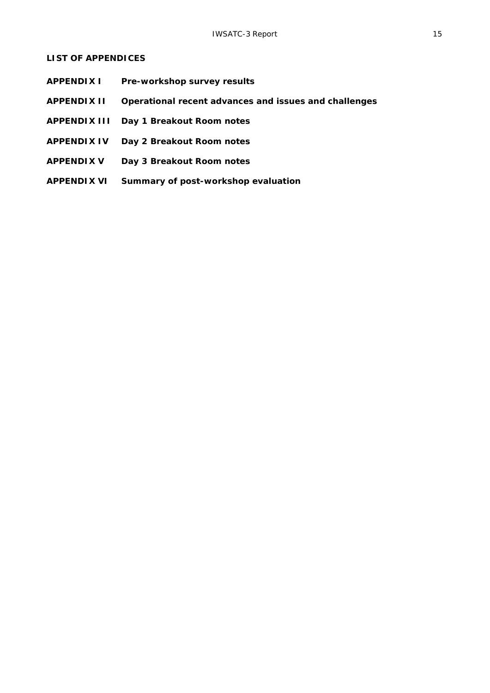#### **LIST OF APPENDICES**

- **APPENDIX I Pre-workshop survey results**
- **APPENDIX II Operational recent advances and issues and challenges**
- **APPENDIX III Day 1 Breakout Room notes**
- **APPENDIX IV Day 2 Breakout Room notes**
- **APPENDIX V Day 3 Breakout Room notes**
- **APPENDIX VI Summary of post-workshop evaluation**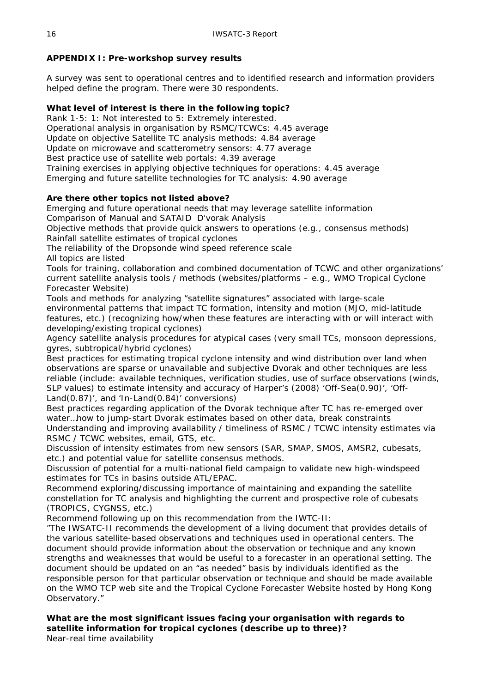#### <span id="page-15-0"></span>**APPENDIX I: Pre-workshop survey results**

A survey was sent to operational centres and to identified research and information providers helped define the program. There were 30 respondents.

#### **What level of interest is there in the following topic?**

Rank 1-5: 1: Not interested to 5: Extremely interested. Operational analysis in organisation by RSMC/TCWCs: 4.45 average Update on objective Satellite TC analysis methods: 4.84 average Update on microwave and scatterometry sensors: 4.77 average Best practice use of satellite web portals: 4.39 average Training exercises in applying objective techniques for operations: 4.45 average Emerging and future satellite technologies for TC analysis: 4.90 average

#### **Are there other topics not listed above?**

*Emerging and future operational needs that may leverage satellite information Comparison of Manual and SATAID D'vorak Analysis Objective methods that provide quick answers to operations (e.g., consensus methods) Rainfall satellite estimates of tropical cyclones*

*The reliability of the Dropsonde wind speed reference scale All topics are listed*

*Tools for training, collaboration and combined documentation of TCWC and other organizations' current satellite analysis tools / methods (websites/platforms – e.g., WMO Tropical Cyclone Forecaster Website)*

*Tools and methods for analyzing "satellite signatures" associated with large-scale environmental patterns that impact TC formation, intensity and motion (MJO, mid-latitude features, etc.) (recognizing how/when these features are interacting with or will interact with developing/existing tropical cyclones)*

*Agency satellite analysis procedures for atypical cases (very small TCs, monsoon depressions, gyres, subtropical/hybrid cyclones)*

*Best practices for estimating tropical cyclone intensity and wind distribution over land when observations are sparse or unavailable and subjective Dvorak and other techniques are less reliable (include: available techniques, verification studies, use of surface observations (winds, SLP values) to estimate intensity and accuracy of Harper's (2008) 'Off-Sea(0.90)', 'Off-Land(0.87)', and 'In-Land(0.84)' conversions)*

*Best practices regarding application of the Dvorak technique after TC has re-emerged over water…how to jump-start Dvorak estimates based on other data, break constraints Understanding and improving availability / timeliness of RSMC / TCWC intensity estimates via RSMC / TCWC websites, email, GTS, etc.*

*Discussion of intensity estimates from new sensors (SAR, SMAP, SMOS, AMSR2, cubesats, etc.) and potential value for satellite consensus methods.*

*Discussion of potential for a multi-national field campaign to validate new high-windspeed estimates for TCs in basins outside ATL/EPAC.*

*Recommend exploring/discussing importance of maintaining and expanding the satellite constellation for TC analysis and highlighting the current and prospective role of cubesats (TROPICS, CYGNSS, etc.)*

*Recommend following up on this recommendation from the IWTC-II:*

*"The IWSATC-II recommends the development of a living document that provides details of the various satellite-based observations and techniques used in operational centers. The document should provide information about the observation or technique and any known strengths and weaknesses that would be useful to a forecaster in an operational setting. The document should be updated on an "as needed" basis by individuals identified as the responsible person for that particular observation or technique and should be made available on the WMO TCP web site and the Tropical Cyclone Forecaster Website hosted by Hong Kong Observatory."* 

#### **What are the most significant issues facing your organisation with regards to satellite information for tropical cyclones (describe up to three)?** *Near-real time availability*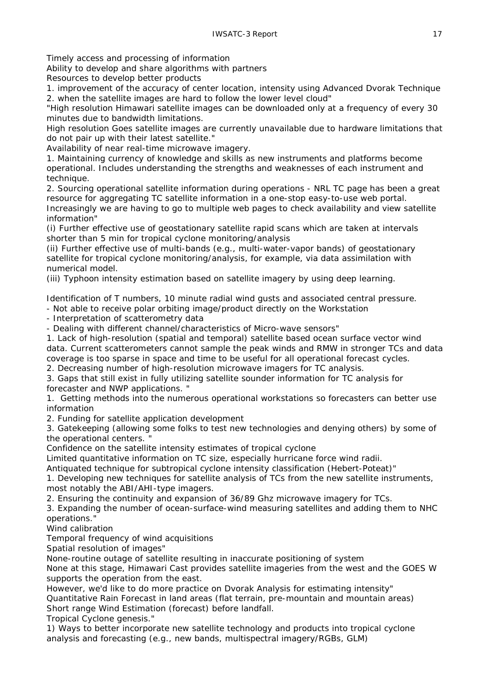*Timely access and processing of information*

*Ability to develop and share algorithms with partners*

*Resources to develop better products*

*1. improvement of the accuracy of center location, intensity using Advanced Dvorak Technique 2. when the satellite images are hard to follow the lower level cloud"*

*"High resolution Himawari satellite images can be downloaded only at a frequency of every 30 minutes due to bandwidth limitations.*

*High resolution Goes satellite images are currently unavailable due to hardware limitations that do not pair up with their latest satellite."*

*Availability of near real-time microwave imagery.*

*1. Maintaining currency of knowledge and skills as new instruments and platforms become operational. Includes understanding the strengths and weaknesses of each instrument and technique.*

2. Sourcing operational satellite information during operations - NRL TC page has been a great resource for aggregating TC satellite information in a one-stop easy-to-use web portal. Increasingly we are having to go to multiple web pages to check availability and view satellite information"

(i) Further effective use of geostationary satellite rapid scans which are taken at intervals shorter than 5 min for tropical cyclone monitoring/analysis

(ii) Further effective use of multi-bands (e.g., multi-water-vapor bands) of geostationary satellite for tropical cyclone monitoring/analysis, for example, via data assimilation with numerical model.

(iii) Typhoon intensity estimation based on satellite imagery by using deep learning.

Identification of T numbers, 10 minute radial wind gusts and associated central pressure.

- Not able to receive polar orbiting image/product directly on the Workstation

- Interpretation of scatterometry data

- Dealing with different channel/characteristics of Micro-wave sensors"

1. Lack of high-resolution (spatial and temporal) satellite based ocean surface vector wind data. Current scatterometers cannot sample the peak winds and RMW in stronger TCs and data coverage is too sparse in space and time to be useful for all operational forecast cycles.

2. Decreasing number of high-resolution microwave imagers for TC analysis.

3. Gaps that still exist in fully utilizing satellite sounder information for TC analysis for forecaster and NWP applications. "

1. Getting methods into the numerous operational workstations so forecasters can better use information

2. Funding for satellite application development

3. Gatekeeping (allowing some folks to test new technologies and denying others) by some of the operational centers. "

Confidence on the satellite intensity estimates of tropical cyclone

Limited quantitative information on TC size, especially hurricane force wind radii.

Antiquated technique for subtropical cyclone intensity classification (Hebert-Poteat)"

1. Developing new techniques for satellite analysis of TCs from the new satellite instruments, most notably the ABI/AHI-type imagers.

2. Ensuring the continuity and expansion of 36/89 Ghz microwave imagery for TCs.

3. Expanding the number of ocean-surface-wind measuring satellites and adding them to NHC operations."

Wind calibration

Temporal frequency of wind acquisitions

Spatial resolution of images"

None-routine outage of satellite resulting in inaccurate positioning of system

None at this stage, Himawari Cast provides satellite imageries from the west and the GOES W supports the operation from the east.

However, we'd like to do more practice on Dvorak Analysis for estimating intensity" Quantitative Rain Forecast in land areas (flat terrain, pre-mountain and mountain areas) Short range Wind Estimation (forecast) before landfall.

Tropical Cyclone genesis."

1) Ways to better incorporate new satellite technology and products into tropical cyclone analysis and forecasting (e.g., new bands, multispectral imagery/RGBs, GLM)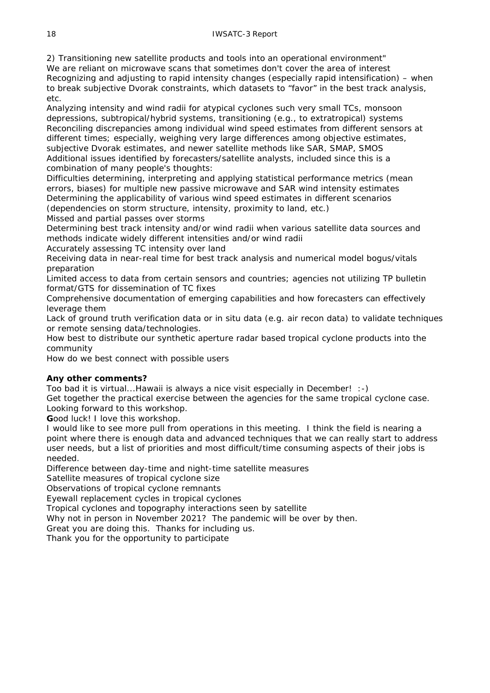2) Transitioning new satellite products and tools into an operational environment"

We are reliant on microwave scans that sometimes don't cover the area of interest Recognizing and adjusting to rapid intensity changes (especially rapid intensification) – when to break subjective Dvorak constraints, which datasets to "favor" in the best track analysis, etc.

Analyzing intensity and wind radii for atypical cyclones such very small TCs, monsoon depressions, subtropical/hybrid systems, transitioning (e.g., to extratropical) systems Reconciling discrepancies among individual wind speed estimates from different sensors at different times; especially, weighing very large differences among objective estimates, subjective Dvorak estimates, and newer satellite methods like SAR, SMAP, SMOS Additional issues identified by forecasters/satellite analysts, included since this is a combination of many people's thoughts:

Difficulties determining, interpreting and applying statistical performance metrics (mean errors, biases) for multiple new passive microwave and SAR wind intensity estimates Determining the applicability of various wind speed estimates in different scenarios (dependencies on storm structure, intensity, proximity to land, etc.)

Missed and partial passes over storms

Determining best track intensity and/or wind radii when various satellite data sources and methods indicate widely different intensities and/or wind radii

Accurately assessing TC intensity over land

Receiving data in near-real time for best track analysis and numerical model bogus/vitals preparation

Limited access to data from certain sensors and countries; agencies not utilizing TP bulletin format/GTS for dissemination of TC fixes

Comprehensive documentation of emerging capabilities and how forecasters can effectively leverage them

Lack of ground truth verification data or in situ data (e.g. air recon data) to validate techniques or remote sensing data/technologies.

How best to distribute our synthetic aperture radar based tropical cyclone products into the community

How do we best connect with possible users

# **Any other comments?**

Too bad it is virtual...Hawaii is always a nice visit especially in December! :-)

Get together the practical exercise between the agencies for the same tropical cyclone case. Looking forward to this workshop.

**G**ood luck! I love this workshop.

I would like to see more pull from operations in this meeting. I think the field is nearing a point where there is enough data and advanced techniques that we can really start to address user needs, but a list of priorities and most difficult/time consuming aspects of their jobs is needed.

Difference between day-time and night-time satellite measures

Satellite measures of tropical cyclone size

Observations of tropical cyclone remnants

Eyewall replacement cycles in tropical cyclones

Tropical cyclones and topography interactions seen by satellite

Why not in person in November 2021? The pandemic will be over by then.

Great you are doing this. Thanks for including us.

Thank you for the opportunity to participate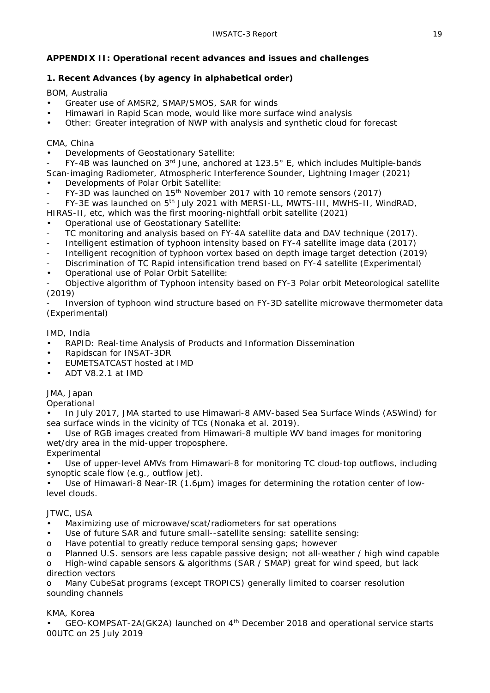# <span id="page-18-0"></span>**APPENDIX II: Operational recent advances and issues and challenges**

# **1. Recent Advances (by agency in alphabetical order)**

BOM, Australia

- Greater use of AMSR2, SMAP/SMOS, SAR for winds
- Himawari in Rapid Scan mode, would like more surface wind analysis
- Other: Greater integration of NWP with analysis and synthetic cloud for forecast

# CMA, China

- Developments of Geostationary Satellite:
- $FY-4B$  was launched on  $3<sup>rd</sup>$  June, anchored at 123.5° E, which includes Multiple-bands
- Scan-imaging Radiometer, Atmospheric Interference Sounder, Lightning Imager (2021) • Developments of Polar Orbit Satellite:
- FY-3D was launched on 15<sup>th</sup> November 2017 with 10 remote sensors (2017)
- FY-3E was launched on 5<sup>th</sup> July 2021 with MERSI-LL, MWTS-III, MWHS-II, WindRAD,
- HIRAS-II, etc, which was the first mooring-nightfall orbit satellite (2021)
- Operational use of Geostationary Satellite:
- TC monitoring and analysis based on FY-4A satellite data and DAV technique (2017).
- Intelligent estimation of typhoon intensity based on FY-4 satellite image data (2017)
- Intelligent recognition of typhoon vortex based on depth image target detection (2019)
- Discrimination of TC Rapid intensification trend based on FY-4 satellite (Experimental)
- Operational use of Polar Orbit Satellite:
- Objective algorithm of Typhoon intensity based on FY-3 Polar orbit Meteorological satellite (2019)

- Inversion of typhoon wind structure based on FY-3D satellite microwave thermometer data (Experimental)

#### IMD, India

- RAPID: Real-time Analysis of Products and Information Dissemination
- Rapidscan for INSAT-3DR
- EUMETSATCAST hosted at IMD
- ADT V8.2.1 at IMD

# JMA, Japan

**Operational** 

• In July 2017, JMA started to use Himawari-8 AMV-based Sea Surface Winds (ASWind) for sea surface winds in the vicinity of TCs (Nonaka et al. 2019).

Use of RGB images created from Himawari-8 multiple WV band images for monitoring wet/dry area in the mid-upper troposphere.

Experimental

• Use of upper-level AMVs from Himawari-8 for monitoring TC cloud-top outflows, including synoptic scale flow (e.g., outflow jet).

• Use of Himawari-8 Near-IR (1.6μm) images for determining the rotation center of lowlevel clouds.

# JTWC, USA

- Maximizing use of microwave/scat/radiometers for sat operations
- Use of future SAR and future small--satellite sensing: satellite sensing:
- o Have potential to greatly reduce temporal sensing gaps; however
- o Planned U.S. sensors are less capable passive design; not all-weather / high wind capable

o High-wind capable sensors & algorithms (SAR / SMAP) great for wind speed, but lack direction vectors

o Many CubeSat programs (except TROPICS) generally limited to coarser resolution sounding channels

# KMA, Korea

• GEO-KOMPSAT-2A(GK2A) launched on 4th December 2018 and operational service starts 00UTC on 25 July 2019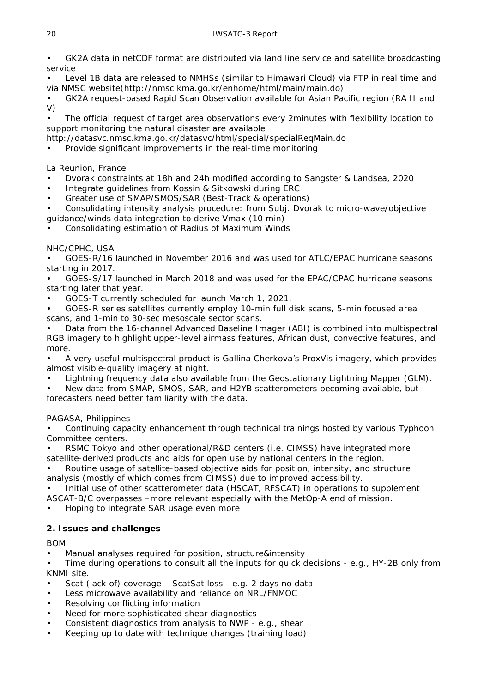• GK2A data in netCDF format are distributed via land line service and satellite broadcasting service

• Level 1B data are released to NMHSs (similar to Himawari Cloud) via FTP in real time and via NMSC website(http://nmsc.kma.go.kr/enhome/html/main/main.do)

• GK2A request-based Rapid Scan Observation available for Asian Pacific region (RA II and V)

• The official request of target area observations every 2minutes with flexibility location to support monitoring the natural disaster are available

http://datasvc.nmsc.kma.go.kr/datasvc/html/special/specialReqMain.do

• Provide significant improvements in the real-time monitoring

La Reunion, France

- Dvorak constraints at 18h and 24h modified according to Sangster & Landsea, 2020
- Integrate guidelines from Kossin & Sitkowski during ERC
- Greater use of SMAP/SMOS/SAR (Best-Track & operations)

• Consolidating intensity analysis procedure: from Subj. Dvorak to micro-wave/objective guidance/winds data integration to derive Vmax (10 min)

• Consolidating estimation of Radius of Maximum Winds

NHC/CPHC, USA

• GOES-R/16 launched in November 2016 and was used for ATLC/EPAC hurricane seasons starting in 2017.

• GOES-S/17 launched in March 2018 and was used for the EPAC/CPAC hurricane seasons starting later that year.

• GOES-T currently scheduled for launch March 1, 2021.

• GOES-R series satellites currently employ 10-min full disk scans, 5-min focused area scans, and 1-min to 30-sec mesoscale sector scans.

• Data from the 16-channel Advanced Baseline Imager (ABI) is combined into multispectral RGB imagery to highlight upper-level airmass features, African dust, convective features, and more.

• A very useful multispectral product is Gallina Cherkova's ProxVis imagery, which provides almost visible-quality imagery at night.

• Lightning frequency data also available from the Geostationary Lightning Mapper (GLM).

• New data from SMAP, SMOS, SAR, and H2YB scatterometers becoming available, but forecasters need better familiarity with the data.

# PAGASA, Philippines

• Continuing capacity enhancement through technical trainings hosted by various Typhoon Committee centers.

• RSMC Tokyo and other operational/R&D centers (i.e. CIMSS) have integrated more satellite-derived products and aids for open use by national centers in the region.

• Routine usage of satellite-based objective aids for position, intensity, and structure analysis (mostly of which comes from CIMSS) due to improved accessibility.

• Initial use of other scatterometer data (HSCAT, RFSCAT) in operations to supplement ASCAT-B/C overpasses –more relevant especially with the MetOp-A end of mission.

• Hoping to integrate SAR usage even more

# **2. Issues and challenges**

BOM

• Manual analyses required for position, structure&intensity

• Time during operations to consult all the inputs for quick decisions - e.g., HY-2B only from KNMI site.

- Scat (lack of) coverage ScatSat loss e.g. 2 days no data
- Less microwave availability and reliance on NRL/FNMOC
- Resolving conflicting information
- Need for more sophisticated shear diagnostics
- Consistent diagnostics from analysis to NWP e.g., shear
- Keeping up to date with technique changes (training load)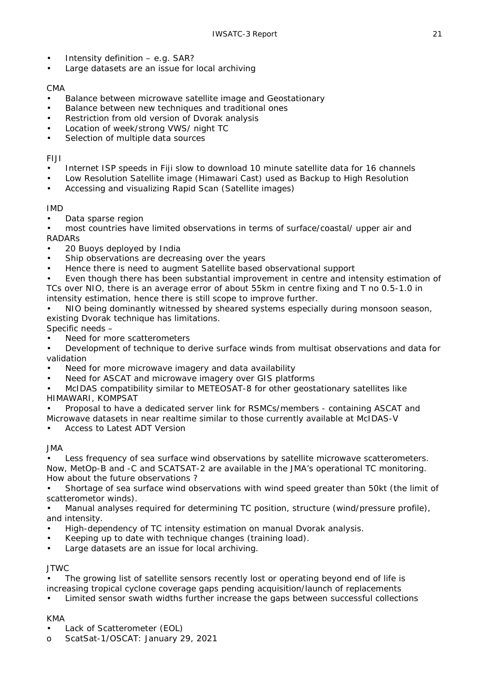- Intensity definition  $-$  e.g. SAR?
- Large datasets are an issue for local archiving

#### CMA

- Balance between microwave satellite image and Geostationary
- Balance between new techniques and traditional ones
- Restriction from old version of Dvorak analysis
- Location of week/strong VWS/ night TC
- Selection of multiple data sources

#### FIJI

- Internet ISP speeds in Fiji slow to download 10 minute satellite data for 16 channels
- Low Resolution Satellite image (Himawari Cast) used as Backup to High Resolution
- Accessing and visualizing Rapid Scan (Satellite images)

#### IMD

Data sparse region

• most countries have limited observations in terms of surface/coastal/ upper air and RADARs

- 20 Buoys deployed by India
- Ship observations are decreasing over the years
- Hence there is need to augment Satellite based observational support
- Even though there has been substantial improvement in centre and intensity estimation of TCs over NIO, there is an average error of about 55km in centre fixing and T no 0.5-1.0 in intensity estimation, hence there is still scope to improve further.
- NIO being dominantly witnessed by sheared systems especially during monsoon season, existing Dvorak technique has limitations.

Specific needs –

- Need for more scatterometers
- Development of technique to derive surface winds from multisat observations and data for validation
- Need for more microwave imagery and data availability
- Need for ASCAT and microwave imagery over GIS platforms
- McIDAS compatibility similar to METEOSAT-8 for other geostationary satellites like HIMAWARI, KOMPSAT
- Proposal to have a dedicated server link for RSMCs/members containing ASCAT and
- Microwave datasets in near realtime similar to those currently available at McIDAS-V
- Access to Latest ADT Version

#### JMA

Less frequency of sea surface wind observations by satellite microwave scatterometers. Now, MetOp-B and -C and SCATSAT-2 are available in the JMA's operational TC monitoring. How about the future observations ?

• Shortage of sea surface wind observations with wind speed greater than 50kt (the limit of scatterometor winds).

• Manual analyses required for determining TC position, structure (wind/pressure profile), and intensity.

- High-dependency of TC intensity estimation on manual Dvorak analysis.
- Keeping up to date with technique changes (training load).
- Large datasets are an issue for local archiving.

# JTWC

The growing list of satellite sensors recently lost or operating beyond end of life is increasing tropical cyclone coverage gaps pending acquisition/launch of replacements

Limited sensor swath widths further increase the gaps between successful collections

# KMA

- Lack of Scatterometer (EOL)
- o ScatSat-1/OSCAT: January 29, 2021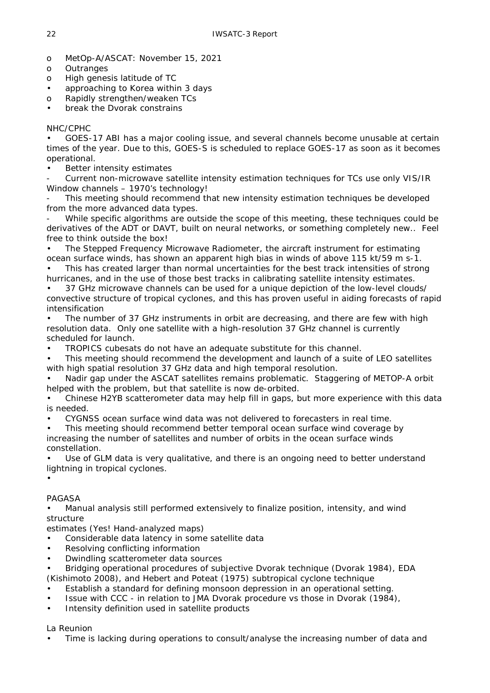- o MetOp-A/ASCAT: November 15, 2021
- o Outranges
- o High genesis latitude of TC
- approaching to Korea within 3 days
- o Rapidly strengthen/weaken TCs
- break the Dvorak constrains

# NHC/CPHC

• GOES-17 ABI has a major cooling issue, and several channels become unusable at certain times of the year. Due to this, GOES-S is scheduled to replace GOES-17 as soon as it becomes operational.

Better intensity estimates

- Current non-microwave satellite intensity estimation techniques for TCs use only VIS/IR Window channels – 1970's technology!

This meeting should recommend that new intensity estimation techniques be developed from the more advanced data types.

While specific algorithms are outside the scope of this meeting, these techniques could be derivatives of the ADT or DAVT, built on neural networks, or something completely new.. Feel free to think outside the box!

• The Stepped Frequency Microwave Radiometer, the aircraft instrument for estimating ocean surface winds, has shown an apparent high bias in winds of above 115 kt/59 m s-1.

• This has created larger than normal uncertainties for the best track intensities of strong hurricanes, and in the use of those best tracks in calibrating satellite intensity estimates.

• 37 GHz microwave channels can be used for a unique depiction of the low-level clouds/ convective structure of tropical cyclones, and this has proven useful in aiding forecasts of rapid intensification

The number of 37 GHz instruments in orbit are decreasing, and there are few with high resolution data. Only one satellite with a high-resolution 37 GHz channel is currently scheduled for launch.

• TROPICS cubesats do not have an adequate substitute for this channel.

This meeting should recommend the development and launch of a suite of LEO satellites with high spatial resolution 37 GHz data and high temporal resolution.

• Nadir gap under the ASCAT satellites remains problematic. Staggering of METOP-A orbit helped with the problem, but that satellite is now de-orbited.

• Chinese H2YB scatterometer data may help fill in gaps, but more experience with this data is needed.

• CYGNSS ocean surface wind data was not delivered to forecasters in real time.

• This meeting should recommend better temporal ocean surface wind coverage by increasing the number of satellites and number of orbits in the ocean surface winds constellation.

Use of GLM data is very qualitative, and there is an ongoing need to better understand lightning in tropical cyclones.

•

# PAGASA

Manual analysis still performed extensively to finalize position, intensity, and wind structure

estimates (Yes! Hand-analyzed maps)

- Considerable data latency in some satellite data
- Resolving conflicting information
- Dwindling scatterometer data sources

• Bridging operational procedures of subjective Dvorak technique (Dvorak 1984), EDA (Kishimoto 2008), and Hebert and Poteat (1975) subtropical cyclone technique

• Establish a standard for defining monsoon depression in an operational setting.

- Issue with CCC in relation to JMA Dvorak procedure vs those in Dvorak (1984),
- Intensity definition used in satellite products

# La Reunion

• Time is lacking during operations to consult/analyse the increasing number of data and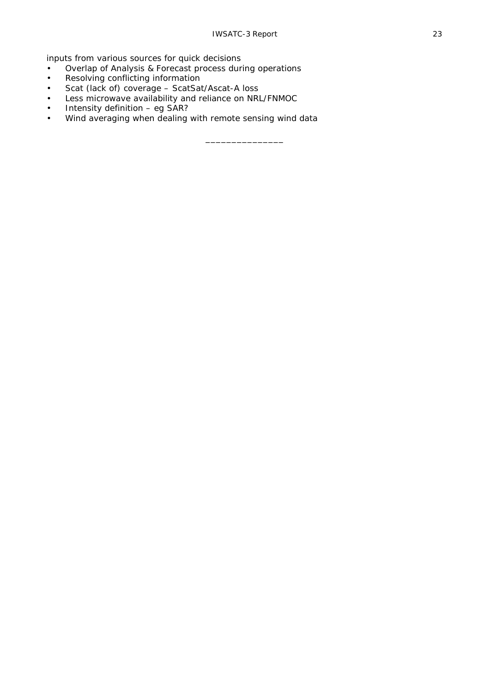\_\_\_\_\_\_\_\_\_\_\_\_\_\_\_

inputs from various sources for quick decisions

- Overlap of Analysis & Forecast process during operations
- Resolving conflicting information<br>• Scat (lack of) coverage ScatSat
- Scat (lack of) coverage ScatSat/Ascat-A loss
- Less microwave availability and reliance on NRL/FNMOC
- Intensity definition eg SAR?<br>• Wind averaging when dealing
- Wind averaging when dealing with remote sensing wind data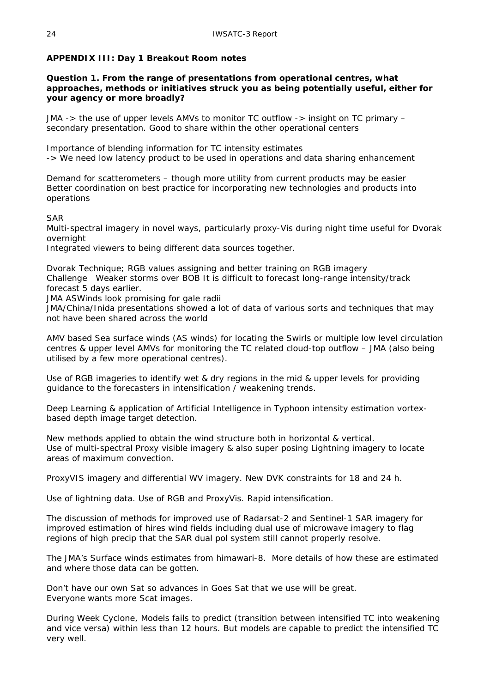#### <span id="page-23-0"></span>**APPENDIX III: Day 1 Breakout Room notes**

**Question 1. From the range of presentations from operational centres, what approaches, methods or initiatives struck you as being potentially useful, either for your agency or more broadly?** 

JMA  $\rightarrow$  the use of upper levels AMVs to monitor TC outflow  $\rightarrow$  insight on TC primary  $$ secondary presentation. Good to share within the other operational centers

Importance of blending information for TC intensity estimates -> We need low latency product to be used in operations and data sharing enhancement

Demand for scatterometers – though more utility from current products may be easier Better coordination on best practice for incorporating new technologies and products into operations

SAR

Multi-spectral imagery in novel ways, particularly proxy-Vis during night time useful for Dvorak overnight

Integrated viewers to being different data sources together.

Dvorak Technique; RGB values assigning and better training on RGB imagery Challenge Weaker storms over BOB It is difficult to forecast long-range intensity/track forecast 5 days earlier.

JMA ASWinds look promising for gale radii

JMA/China/Inida presentations showed a lot of data of various sorts and techniques that may not have been shared across the world

AMV based Sea surface winds (AS winds) for locating the Swirls or multiple low level circulation centres & upper level AMVs for monitoring the TC related cloud-top outflow – JMA (also being utilised by a few more operational centres).

Use of RGB imageries to identify wet & dry regions in the mid & upper levels for providing guidance to the forecasters in intensification / weakening trends.

Deep Learning & application of Artificial Intelligence in Typhoon intensity estimation vortexbased depth image target detection.

New methods applied to obtain the wind structure both in horizontal & vertical. Use of multi-spectral Proxy visible imagery & also super posing Lightning imagery to locate areas of maximum convection.

ProxyVIS imagery and differential WV imagery. New DVK constraints for 18 and 24 h.

Use of lightning data. Use of RGB and ProxyVis. Rapid intensification.

The discussion of methods for improved use of Radarsat-2 and Sentinel-1 SAR imagery for improved estimation of hires wind fields including dual use of microwave imagery to flag regions of high precip that the SAR dual pol system still cannot properly resolve.

The JMA's Surface winds estimates from himawari-8. More details of how these are estimated and where those data can be gotten.

Don't have our own Sat so advances in Goes Sat that we use will be great. Everyone wants more Scat images.

During Week Cyclone, Models fails to predict (transition between intensified TC into weakening and vice versa) within less than 12 hours. But models are capable to predict the intensified TC very well.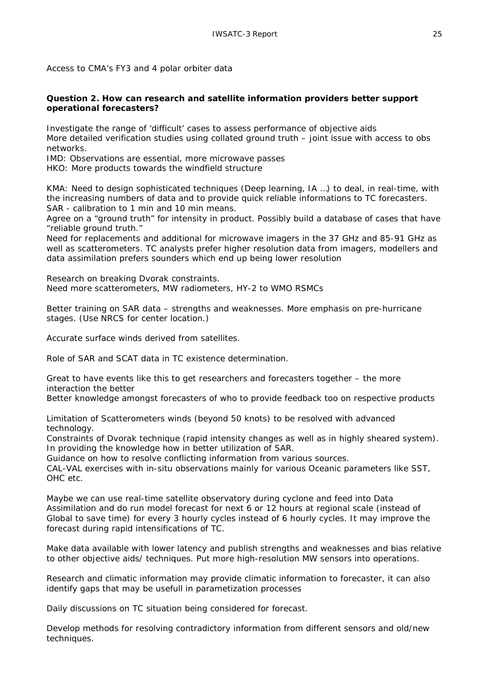Access to CMA's FY3 and 4 polar orbiter data

#### **Question 2. How can research and satellite information providers better support operational forecasters?**

Investigate the range of 'difficult' cases to assess performance of objective aids More detailed verification studies using collated ground truth – joint issue with access to obs networks.

IMD: Observations are essential, more microwave passes

HKO: More products towards the windfield structure

KMA: Need to design sophisticated techniques (Deep learning, IA …) to deal, in real-time, with the increasing numbers of data and to provide quick reliable informations to TC forecasters. SAR - calibration to 1 min and 10 min means.

Agree on a "ground truth" for intensity in product. Possibly build a database of cases that have "reliable ground truth."

Need for replacements and additional for microwave imagers in the 37 GHz and 85-91 GHz as well as scatterometers. TC analysts prefer higher resolution data from imagers, modellers and data assimilation prefers sounders which end up being lower resolution

Research on breaking Dvorak constraints. Need more scatterometers, MW radiometers, HY-2 to WMO RSMCs

Better training on SAR data – strengths and weaknesses. More emphasis on pre-hurricane stages. (Use NRCS for center location.)

Accurate surface winds derived from satellites.

Role of SAR and SCAT data in TC existence determination.

Great to have events like this to get researchers and forecasters together – the more interaction the better

Better knowledge amongst forecasters of who to provide feedback too on respective products

Limitation of Scatterometers winds (beyond 50 knots) to be resolved with advanced technology.

Constraints of Dvorak technique (rapid intensity changes as well as in highly sheared system). In providing the knowledge how in better utilization of SAR.

Guidance on how to resolve conflicting information from various sources.

CAL-VAL exercises with in-situ observations mainly for various Oceanic parameters like SST, OHC etc.

Maybe we can use real-time satellite observatory during cyclone and feed into Data Assimilation and do run model forecast for next 6 or 12 hours at regional scale (instead of Global to save time) for every 3 hourly cycles instead of 6 hourly cycles. It may improve the forecast during rapid intensifications of TC.

Make data available with lower latency and publish strengths and weaknesses and bias relative to other objective aids/ techniques. Put more high-resolution MW sensors into operations.

Research and climatic information may provide climatic information to forecaster, it can also identify gaps that may be usefull in parametization processes

Daily discussions on TC situation being considered for forecast.

Develop methods for resolving contradictory information from different sensors and old/new techniques.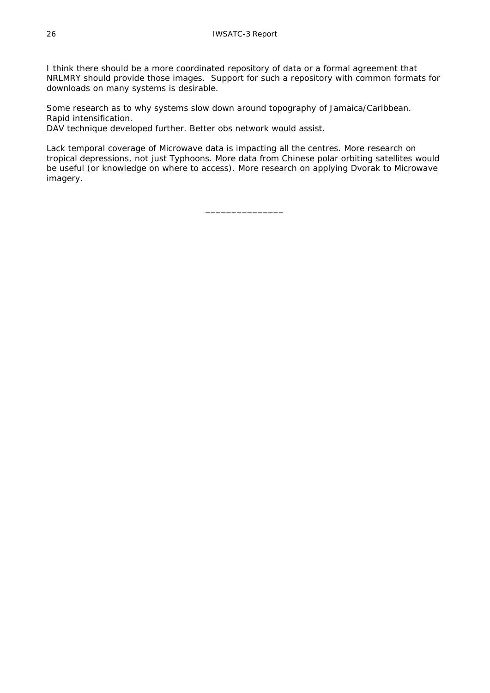I think there should be a more coordinated repository of data or a formal agreement that NRLMRY should provide those images. Support for such a repository with common formats for downloads on many systems is desirable.

Some research as to why systems slow down around topography of Jamaica/Caribbean. Rapid intensification.

DAV technique developed further. Better obs network would assist.

Lack temporal coverage of Microwave data is impacting all the centres. More research on tropical depressions, not just Typhoons. More data from Chinese polar orbiting satellites would be useful (or knowledge on where to access). More research on applying Dvorak to Microwave imagery.

\_\_\_\_\_\_\_\_\_\_\_\_\_\_\_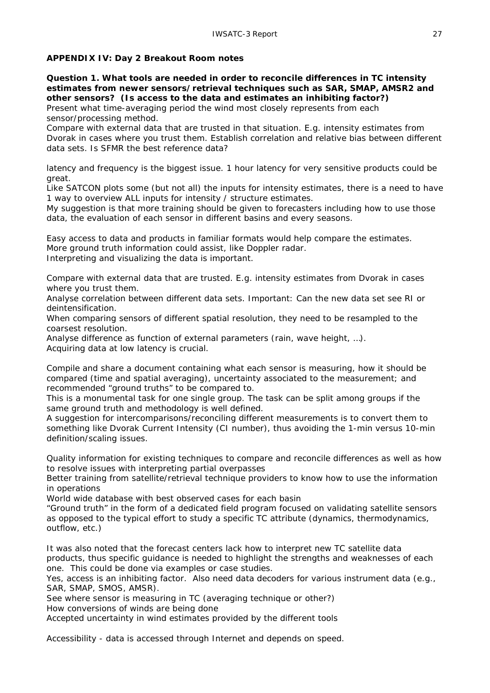#### <span id="page-26-0"></span>**APPENDIX IV: Day 2 Breakout Room notes**

**Question 1. What tools are needed in order to reconcile differences in TC intensity estimates from newer sensors/retrieval techniques such as SAR, SMAP, AMSR2 and other sensors? (Is access to the data and estimates an inhibiting factor?)**  Present what time-averaging period the wind most closely represents from each sensor/processing method.

Compare with external data that are trusted in that situation. E.g. intensity estimates from Dvorak in cases where you trust them. Establish correlation and relative bias between different data sets. Is SFMR the best reference data?

latency and frequency is the biggest issue. 1 hour latency for very sensitive products could be great.

Like SATCON plots some (but not all) the inputs for intensity estimates, there is a need to have 1 way to overview ALL inputs for intensity / structure estimates.

My suggestion is that more training should be given to forecasters including how to use those data, the evaluation of each sensor in different basins and every seasons.

Easy access to data and products in familiar formats would help compare the estimates. More ground truth information could assist, like Doppler radar. Interpreting and visualizing the data is important.

Compare with external data that are trusted. E.g. intensity estimates from Dvorak in cases where you trust them.

Analyse correlation between different data sets. Important: Can the new data set see RI or deintensification.

When comparing sensors of different spatial resolution, they need to be resampled to the coarsest resolution.

Analyse difference as function of external parameters (rain, wave height, …). Acquiring data at low latency is crucial.

Compile and share a document containing what each sensor is measuring, how it should be compared (time and spatial averaging), uncertainty associated to the measurement; and recommended "ground truths" to be compared to.

This is a monumental task for one single group. The task can be split among groups if the same ground truth and methodology is well defined.

A suggestion for intercomparisons/reconciling different measurements is to convert them to something like Dvorak Current Intensity (CI number), thus avoiding the 1-min versus 10-min definition/scaling issues.

Quality information for existing techniques to compare and reconcile differences as well as how to resolve issues with interpreting partial overpasses

Better training from satellite/retrieval technique providers to know how to use the information in operations

World wide database with best observed cases for each basin

"Ground truth" in the form of a dedicated field program focused on validating satellite sensors as opposed to the typical effort to study a specific TC attribute (dynamics, thermodynamics, outflow, etc.)

It was also noted that the forecast centers lack how to interpret new TC satellite data products, thus specific guidance is needed to highlight the strengths and weaknesses of each one. This could be done via examples or case studies.

Yes, access is an inhibiting factor. Also need data decoders for various instrument data (e.g., SAR, SMAP, SMOS, AMSR).

See where sensor is measuring in TC (averaging technique or other?)

How conversions of winds are being done

Accepted uncertainty in wind estimates provided by the different tools

Accessibility - data is accessed through Internet and depends on speed.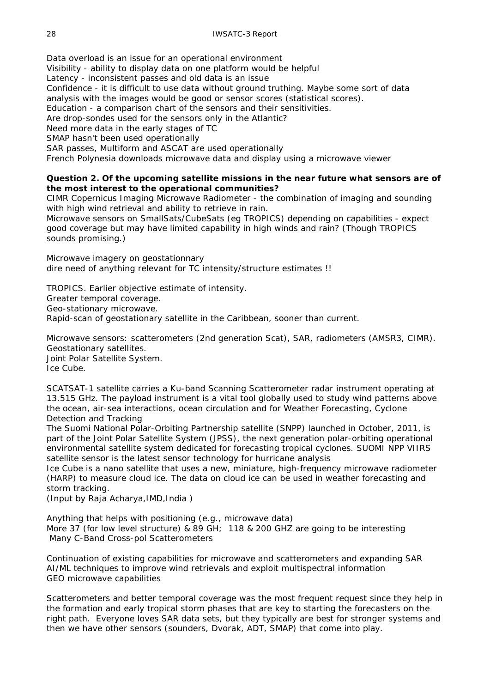Data overload is an issue for an operational environment

Visibility - ability to display data on one platform would be helpful

Latency - inconsistent passes and old data is an issue

Confidence - it is difficult to use data without ground truthing. Maybe some sort of data analysis with the images would be good or sensor scores (statistical scores).

Education - a comparison chart of the sensors and their sensitivities.

Are drop-sondes used for the sensors only in the Atlantic?

Need more data in the early stages of TC

SMAP hasn't been used operationally

SAR passes, Multiform and ASCAT are used operationally

French Polynesia downloads microwave data and display using a microwave viewer

#### **Question 2. Of the upcoming satellite missions in the near future what sensors are of the most interest to the operational communities?**

CIMR Copernicus Imaging Microwave Radiometer - the combination of imaging and sounding with high wind retrieval and ability to retrieve in rain.

Microwave sensors on SmallSats/CubeSats (eg TROPICS) depending on capabilities - expect good coverage but may have limited capability in high winds and rain? (Though TROPICS sounds promising.)

Microwave imagery on geostationnary dire need of anything relevant for TC intensity/structure estimates !!

TROPICS. Earlier objective estimate of intensity.

Greater temporal coverage.

Geo-stationary microwave.

Rapid-scan of geostationary satellite in the Caribbean, sooner than current.

Microwave sensors: scatterometers (2nd generation Scat), SAR, radiometers (AMSR3, CIMR). Geostationary satellites.

Joint Polar Satellite System. Ice Cube.

SCATSAT-1 satellite carries a Ku-band Scanning Scatterometer radar instrument operating at 13.515 GHz. The payload instrument is a vital tool globally used to study wind patterns above the ocean, air-sea interactions, ocean circulation and for Weather Forecasting, Cyclone Detection and Tracking

The Suomi National Polar-Orbiting Partnership satellite (SNPP) launched in October, 2011, is part of the Joint Polar Satellite System (JPSS), the next generation polar-orbiting operational environmental satellite system dedicated for forecasting tropical cyclones. SUOMI NPP VIIRS satellite sensor is the latest sensor technology for hurricane analysis

Ice Cube is a nano satellite that uses a new, miniature, high-frequency microwave radiometer (HARP) to measure cloud ice. The data on cloud ice can be used in weather forecasting and storm tracking.

(Input by Raja Acharya,IMD,India )

Anything that helps with positioning (e.g., microwave data) More 37 (for low level structure) & 89 GH; 118 & 200 GHZ are going to be interesting Many C-Band Cross-pol Scatterometers

Continuation of existing capabilities for microwave and scatterometers and expanding SAR AI/ML techniques to improve wind retrievals and exploit multispectral information GEO microwave capabilities

Scatterometers and better temporal coverage was the most frequent request since they help in the formation and early tropical storm phases that are key to starting the forecasters on the right path. Everyone loves SAR data sets, but they typically are best for stronger systems and then we have other sensors (sounders, Dvorak, ADT, SMAP) that come into play.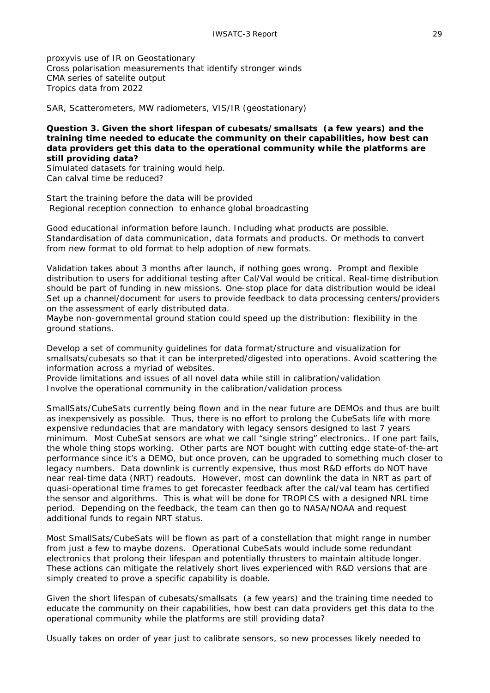proxyvis use of IR on Geostationary Cross polarisation measurements that identify stronger winds CMA series of satelite output Tropics data from 2022

SAR, Scatterometers, MW radiometers, VIS/IR (geostationary)

**Question 3. Given the short lifespan of cubesats/smallsats (a few years) and the training time needed to educate the community on their capabilities, how best can data providers get this data to the operational community while the platforms are still providing data?** 

Simulated datasets for training would help. Can calval time be reduced?

Start the training before the data will be provided Regional reception connection to enhance global broadcasting

Good educational information before launch. Including what products are possible. Standardisation of data communication, data formats and products. Or methods to convert from new format to old format to help adoption of new formats.

Validation takes about 3 months after launch, if nothing goes wrong. Prompt and flexible distribution to users for additional testing after Cal/Val would be critical. Real-time distribution should be part of funding in new missions. One-stop place for data distribution would be ideal Set up a channel/document for users to provide feedback to data processing centers/providers on the assessment of early distributed data.

Maybe non-governmental ground station could speed up the distribution: flexibility in the ground stations.

Develop a set of community guidelines for data format/structure and visualization for smallsats/cubesats so that it can be interpreted/digested into operations. Avoid scattering the information across a myriad of websites.

Provide limitations and issues of all novel data while still in calibration/validation Involve the operational community in the calibration/validation process

SmallSats/CubeSats currently being flown and in the near future are DEMOs and thus are built as inexpensively as possible. Thus, there is no effort to prolong the CubeSats life with more expensive redundacies that are mandatory with legacy sensors designed to last 7 years minimum. Most CubeSat sensors are what we call "single string" electronics.. If one part fails, the whole thing stops working. Other parts are NOT bought with cutting edge state-of-the-art performance since it's a DEMO, but once proven, can be upgraded to something much closer to legacy numbers. Data downlink is currently expensive, thus most R&D efforts do NOT have near real-time data (NRT) readouts. However, most can downlink the data in NRT as part of quasi-operational time frames to get forecaster feedback after the cal/val team has certified the sensor and algorithms. This is what will be done for TROPICS with a designed NRL time period. Depending on the feedback, the team can then go to NASA/NOAA and request additional funds to regain NRT status.

Most SmallSats/CubeSats will be flown as part of a constellation that might range in number from just a few to maybe dozens. Operational CubeSats would include some redundant electronics that prolong their lifespan and potentially thrusters to maintain altitude longer. These actions can mitigate the relatively short lives experienced with R&D versions that are simply created to prove a specific capability is doable.

Given the short lifespan of cubesats/smallsats (a few years) and the training time needed to educate the community on their capabilities, how best can data providers get this data to the operational community while the platforms are still providing data?

Usually takes on order of year just to calibrate sensors, so new processes likely needed to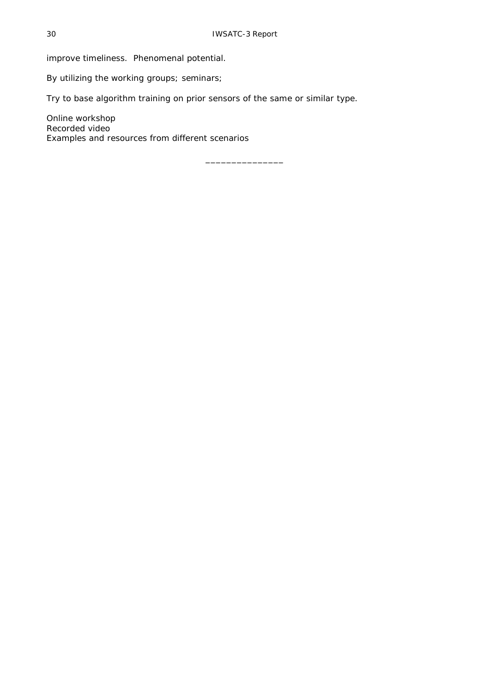\_\_\_\_\_\_\_\_\_\_\_\_\_\_\_

improve timeliness. Phenomenal potential.

By utilizing the working groups; seminars;

Try to base algorithm training on prior sensors of the same or similar type.

Online workshop Recorded video Examples and resources from different scenarios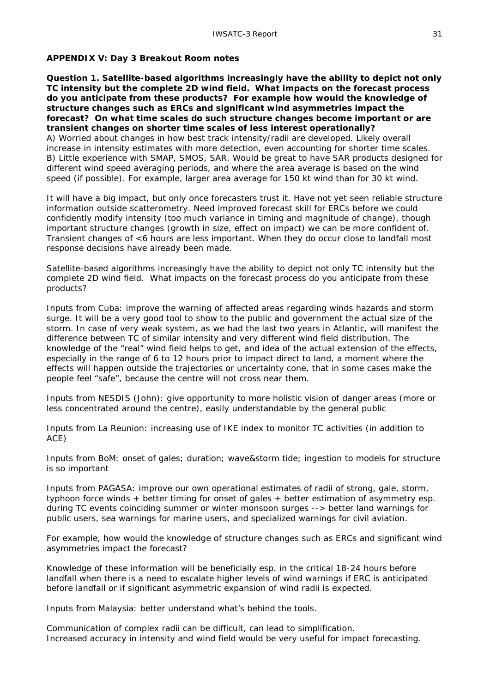#### <span id="page-30-0"></span>**APPENDIX V: Day 3 Breakout Room notes**

**Question 1. Satellite-based algorithms increasingly have the ability to depict not only TC intensity but the complete 2D wind field. What impacts on the forecast process do you anticipate from these products? For example how would the knowledge of structure changes such as ERCs and significant wind asymmetries impact the forecast? On what time scales do such structure changes become important or are transient changes on shorter time scales of less interest operationally?**  A) Worried about changes in how best track intensity/radii are developed. Likely overall increase in intensity estimates with more detection, even accounting for shorter time scales. B) Little experience with SMAP, SMOS, SAR. Would be great to have SAR products designed for different wind speed averaging periods, and where the area average is based on the wind speed (if possible). For example, larger area average for 150 kt wind than for 30 kt wind.

It will have a big impact, but only once forecasters trust it. Have not yet seen reliable structure information outside scatterometry. Need improved forecast skill for ERCs before we could confidently modify intensity (too much variance in timing and magnitude of change), though important structure changes (growth in size, effect on impact) we can be more confident of. Transient changes of <6 hours are less important. When they do occur close to landfall most response decisions have already been made.

Satellite-based algorithms increasingly have the ability to depict not only TC intensity but the complete 2D wind field. What impacts on the forecast process do you anticipate from these products?

Inputs from Cuba: improve the warning of affected areas regarding winds hazards and storm surge. It will be a very good tool to show to the public and government the actual size of the storm. In case of very weak system, as we had the last two years in Atlantic, will manifest the difference between TC of similar intensity and very different wind field distribution. The knowledge of the "real" wind field helps to get, and idea of the actual extension of the effects, especially in the range of 6 to 12 hours prior to impact direct to land, a moment where the effects will happen outside the trajectories or uncertainty cone, that in some cases make the people feel "safe", because the centre will not cross near them.

Inputs from NESDIS (John): give opportunity to more holistic vision of danger areas (more or less concentrated around the centre), easily understandable by the general public

Inputs from La Reunion: increasing use of IKE index to monitor TC activities (in addition to ACE)

Inputs from BoM: onset of gales; duration; wave&storm tide; ingestion to models for structure is so important

Inputs from PAGASA: improve our own operational estimates of radii of strong, gale, storm, typhoon force winds + better timing for onset of gales + better estimation of asymmetry esp. during TC events coinciding summer or winter monsoon surges --> better land warnings for public users, sea warnings for marine users, and specialized warnings for civil aviation.

For example, how would the knowledge of structure changes such as ERCs and significant wind asymmetries impact the forecast?

Knowledge of these information will be beneficially esp. in the critical 18-24 hours before landfall when there is a need to escalate higher levels of wind warnings if ERC is anticipated before landfall or if significant asymmetric expansion of wind radii is expected.

Inputs from Malaysia: better understand what's behind the tools.

Communication of complex radii can be difficult, can lead to simplification. Increased accuracy in intensity and wind field would be very useful for impact forecasting.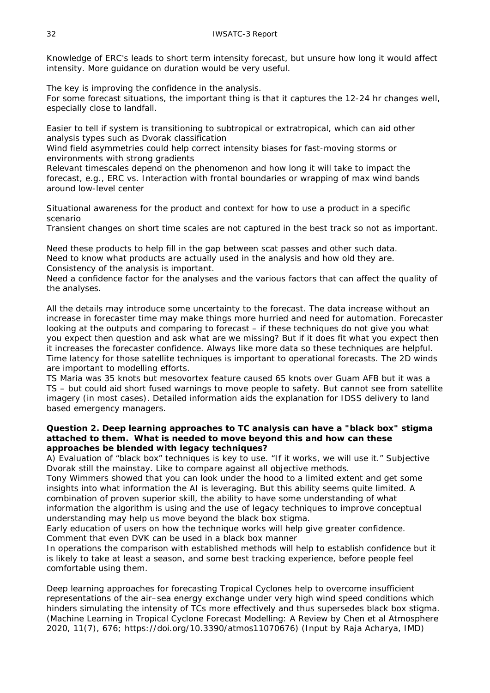Knowledge of ERC's leads to short term intensity forecast, but unsure how long it would affect intensity. More guidance on duration would be very useful.

The key is improving the confidence in the analysis.

For some forecast situations, the important thing is that it captures the 12-24 hr changes well, especially close to landfall.

Easier to tell if system is transitioning to subtropical or extratropical, which can aid other analysis types such as Dvorak classification

Wind field asymmetries could help correct intensity biases for fast-moving storms or environments with strong gradients

Relevant timescales depend on the phenomenon and how long it will take to impact the forecast, e.g., ERC vs. Interaction with frontal boundaries or wrapping of max wind bands around low-level center

Situational awareness for the product and context for how to use a product in a specific scenario

Transient changes on short time scales are not captured in the best track so not as important.

Need these products to help fill in the gap between scat passes and other such data. Need to know what products are actually used in the analysis and how old they are. Consistency of the analysis is important.

Need a confidence factor for the analyses and the various factors that can affect the quality of the analyses.

All the details may introduce some uncertainty to the forecast. The data increase without an increase in forecaster time may make things more hurried and need for automation. Forecaster looking at the outputs and comparing to forecast – if these techniques do not give you what you expect then question and ask what are we missing? But if it does fit what you expect then it increases the forecaster confidence. Always like more data so these techniques are helpful. Time latency for those satellite techniques is important to operational forecasts. The 2D winds are important to modelling efforts.

TS Maria was 35 knots but mesovortex feature caused 65 knots over Guam AFB but it was a TS – but could aid short fused warnings to move people to safety. But cannot see from satellite imagery (in most cases). Detailed information aids the explanation for IDSS delivery to land based emergency managers.

#### **Question 2. Deep learning approaches to TC analysis can have a "black box" stigma attached to them. What is needed to move beyond this and how can these approaches be blended with legacy techniques?**

A) Evaluation of "black box" techniques is key to use. "If it works, we will use it." Subjective Dvorak still the mainstay. Like to compare against all objective methods.

Tony Wimmers showed that you can look under the hood to a limited extent and get some insights into what information the AI is leveraging. But this ability seems quite limited. A combination of proven superior skill, the ability to have some understanding of what information the algorithm is using and the use of legacy techniques to improve conceptual understanding may help us move beyond the black box stigma.

Early education of users on how the technique works will help give greater confidence. Comment that even DVK can be used in a black box manner

In operations the comparison with established methods will help to establish confidence but it is likely to take at least a season, and some best tracking experience, before people feel comfortable using them.

Deep learning approaches for forecasting Tropical Cyclones help to overcome insufficient representations of the air–sea energy exchange under very high wind speed conditions which hinders simulating the intensity of TCs more effectively and thus supersedes black box stigma. (Machine Learning in Tropical Cyclone Forecast Modelling: A Review by Chen et al Atmosphere 2020, 11(7), 676; [https://doi.org/10.3390/atmos11070676\)](https://doi.org/10.3390/atmos11070676) (Input by Raja Acharya, IMD)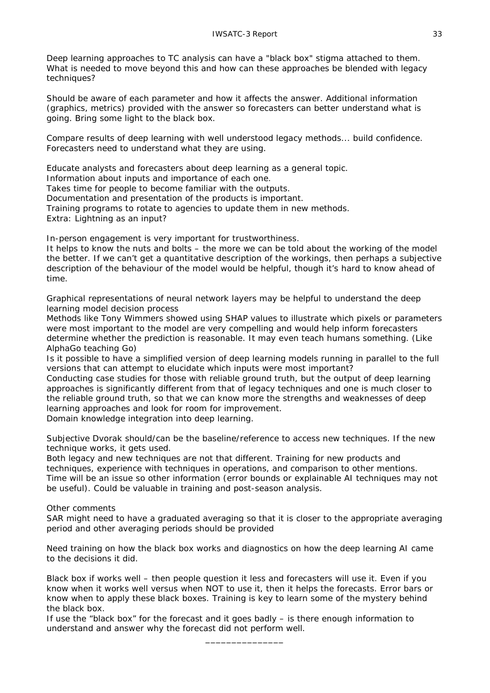Deep learning approaches to TC analysis can have a "black box" stigma attached to them. What is needed to move beyond this and how can these approaches be blended with legacy techniques?

Should be aware of each parameter and how it affects the answer. Additional information (graphics, metrics) provided with the answer so forecasters can better understand what is going. Bring some light to the black box.

Compare results of deep learning with well understood legacy methods... build confidence. Forecasters need to understand what they are using.

Educate analysts and forecasters about deep learning as a general topic. Information about inputs and importance of each one. Takes time for people to become familiar with the outputs. Documentation and presentation of the products is important. Training programs to rotate to agencies to update them in new methods. Extra: Lightning as an input?

In-person engagement is very important for trustworthiness.

It helps to know the nuts and bolts – the more we can be told about the working of the model the better. If we can't get a quantitative description of the workings, then perhaps a subjective description of the behaviour of the model would be helpful, though it's hard to know ahead of time.

Graphical representations of neural network layers may be helpful to understand the deep learning model decision process

Methods like Tony Wimmers showed using SHAP values to illustrate which pixels or parameters were most important to the model are very compelling and would help inform forecasters determine whether the prediction is reasonable. It may even teach humans something. (Like AlphaGo teaching Go)

Is it possible to have a simplified version of deep learning models running in parallel to the full versions that can attempt to elucidate which inputs were most important?

Conducting case studies for those with reliable ground truth, but the output of deep learning approaches is significantly different from that of legacy techniques and one is much closer to the reliable ground truth, so that we can know more the strengths and weaknesses of deep learning approaches and look for room for improvement.

Domain knowledge integration into deep learning.

Subjective Dvorak should/can be the baseline/reference to access new techniques. If the new technique works, it gets used.

Both legacy and new techniques are not that different. Training for new products and techniques, experience with techniques in operations, and comparison to other mentions. Time will be an issue so other information (error bounds or explainable AI techniques may not be useful). Could be valuable in training and post-season analysis.

Other comments

SAR might need to have a graduated averaging so that it is closer to the appropriate averaging period and other averaging periods should be provided

Need training on how the black box works and diagnostics on how the deep learning AI came to the decisions it did.

Black box if works well – then people question it less and forecasters will use it. Even if you know when it works well versus when NOT to use it, then it helps the forecasts. Error bars or know when to apply these black boxes. Training is key to learn some of the mystery behind the black box.

\_\_\_\_\_\_\_\_\_\_\_\_\_\_\_

If use the "black box" for the forecast and it goes badly – is there enough information to understand and answer why the forecast did not perform well.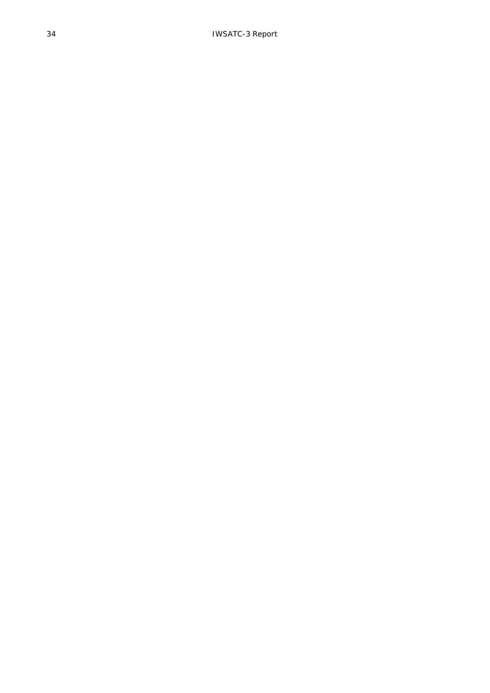IWSATC-3 Report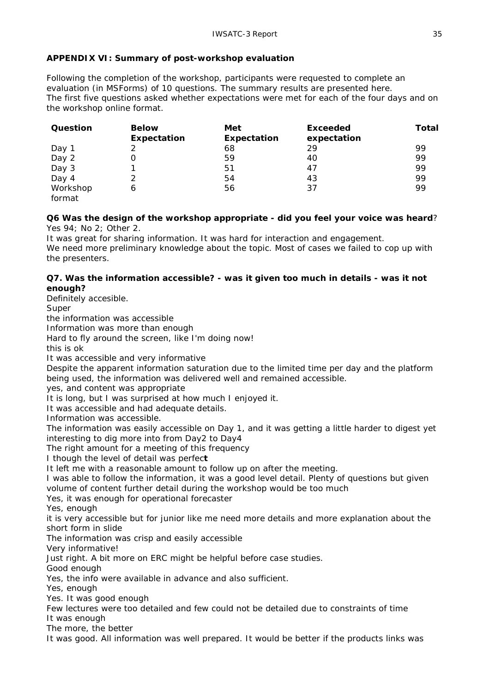#### <span id="page-34-0"></span>**APPENDIX VI: Summary of post-workshop evaluation**

Following the completion of the workshop, participants were requested to complete an evaluation (in MSForms) of 10 questions. The summary results are presented here. The first five questions asked whether expectations were met for each of the four days and on the workshop online format.

| Question           | <b>Below</b> | Met         | <b>Exceeded</b> | Total |
|--------------------|--------------|-------------|-----------------|-------|
|                    | Expectation  | Expectation | expectation     |       |
| Day 1              |              | 68          | 29              | 99    |
| Day 2              |              | 59          | 40              | 99    |
| Day 3              |              | 51          | 47              | 99    |
| Day 4              |              | 54          | 43              | 99    |
| Workshop<br>format | 6            | 56          | 37              | 99    |

format

#### **Q6 Was the design of the workshop appropriate - did you feel your voice was heard**? Yes 94; No 2; Other 2.

*It was great for sharing information. It was hard for interaction and engagement. We need more preliminary knowledge about the topic. Most of cases we failed to cop up with the presenters.*

#### **Q7. Was the information accessible? - was it given too much in details - was it not enough?**

*Definitely accesible.*

*Super*

the information was accessible

Information was more than enough

Hard to fly around the screen, like I'm doing now!

this is ok

It was accessible and very informative

Despite the apparent information saturation due to the limited time per day and the platform being used, the information was delivered well and remained accessible.

yes, and content was appropriate

It is long, but I was surprised at how much I enjoyed it.

It was accessible and had adequate details.

Information was accessible.

The information was easily accessible on Day 1, and it was getting a little harder to digest yet interesting to dig more into from Day2 to Day4

The right amount for a meeting of this frequency

I though the level of detail was perfec**t**

It left me with a reasonable amount to follow up on after the meeting.

I was able to follow the information, it was a good level detail. Plenty of questions but given volume of content further detail during the workshop would be too much

Yes, it was enough for operational forecaster

Yes, enough

it is very accessible but for junior like me need more details and more explanation about the short form in slide

The information was crisp and easily accessible

Very informative!

Just right. A bit more on ERC might be helpful before case studies.

Good enough

Yes, the info were available in advance and also sufficient.

Yes, enough

Yes. It was good enough

Few lectures were too detailed and few could not be detailed due to constraints of time It was enough

The more, the better

It was good. All information was well prepared. It would be better if the products links was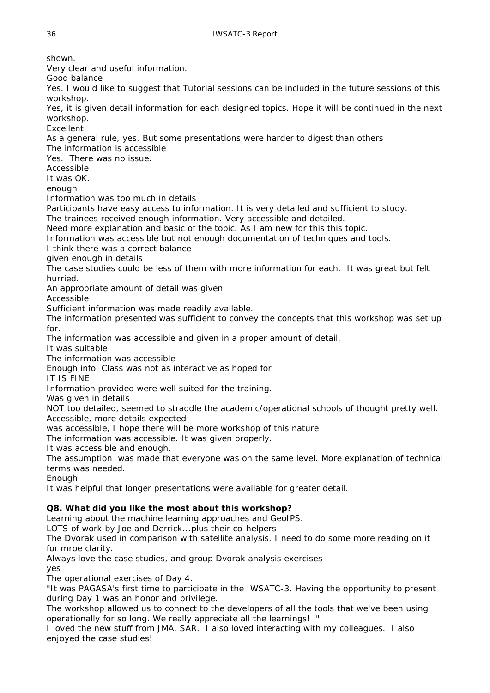shown.

Very clear and useful information.

Good balance

Yes. I would like to suggest that Tutorial sessions can be included in the future sessions of this workshop.

Yes, it is given detail information for each designed topics. Hope it will be continued in the next workshop.

Excellent

As a general rule, yes. But some presentations were harder to digest than others

The information is accessible

Yes. There was no issue.

Accessible

It was OK.

enough

Information was too much in details

Participants have easy access to information. It is very detailed and sufficient to study. The trainees received enough information. Very accessible and detailed.

Need more explanation and basic of the topic. As I am new for this this topic.

Information was accessible but not enough documentation of techniques and tools.

I think there was a correct balance

given enough in details

The case studies could be less of them with more information for each. It was great but felt hurried.

An appropriate amount of detail was given

Accessible

Sufficient information was made readily available.

The information presented was sufficient to convey the concepts that this workshop was set up for.

The information was accessible and given in a proper amount of detail.

It was suitable

The information was accessible

Enough info. Class was not as interactive as hoped for

IT IS FINE

Information provided were well suited for the training.

Was given in details

NOT too detailed, seemed to straddle the academic/operational schools of thought pretty well. Accessible, more details expected

was accessible, I hope there will be more workshop of this nature

The information was accessible. It was given properly.

It was accessible and enough.

The assumption was made that everyone was on the same level. More explanation of technical terms was needed.

Enough

It was helpful that longer presentations were available for greater detail.

# **Q8. What did you like the most about this workshop?**

Learning about the machine learning approaches and GeoIPS.

LOTS of work by Joe and Derrick...plus their co-helpers

The Dvorak used in comparison with satellite analysis. I need to do some more reading on it for mroe clarity.

Always love the case studies, and group Dvorak analysis exercises

yes

The operational exercises of Day 4.

"It was PAGASA's first time to participate in the IWSATC-3. Having the opportunity to present during Day 1 was an honor and privilege.

The workshop allowed us to connect to the developers of all the tools that we've been using operationally for so long. We really appreciate all the learnings! "

I loved the new stuff from JMA, SAR. I also loved interacting with my colleagues. I also enjoyed the case studies!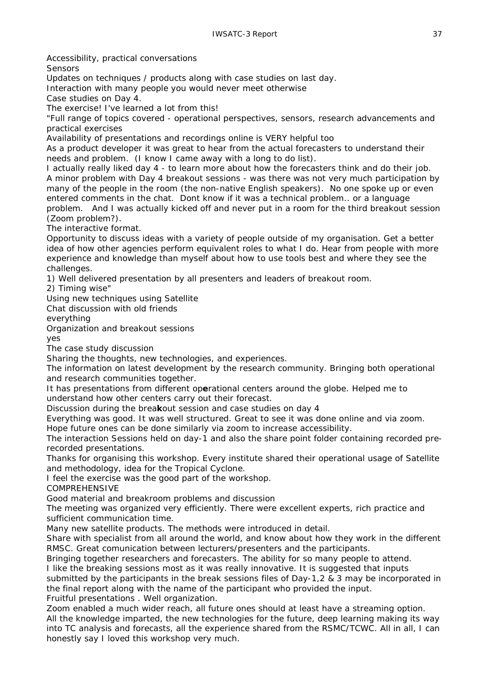Accessibility, practical conversations

Sensors

Updates on techniques / products along with case studies on last day.

Interaction with many people you would never meet otherwise

Case studies on Day 4.

The exercise! I've learned a lot from this!

"Full range of topics covered - operational perspectives, sensors, research advancements and practical exercises

Availability of presentations and recordings online is VERY helpful too

As a product developer it was great to hear from the actual forecasters to understand their needs and problem. (I know I came away with a long to do list).

I actually really liked day 4 - to learn more about how the forecasters think and do their job. A minor problem with Day 4 breakout sessions - was there was not very much participation by many of the people in the room (the non-native English speakers). No one spoke up or even entered comments in the chat. Dont know if it was a technical problem.. or a language problem. And I was actually kicked off and never put in a room for the third breakout session (Zoom problem?).

The interactive format.

Opportunity to discuss ideas with a variety of people outside of my organisation. Get a better idea of how other agencies perform equivalent roles to what I do. Hear from people with more experience and knowledge than myself about how to use tools best and where they see the challenges.

1) Well delivered presentation by all presenters and leaders of breakout room.

2) Timing wise"

Using new techniques using Satellite

Chat discussion with old friends

everything

Organization and breakout sessions yes

The case study discussion

Sharing the thoughts, new technologies, and experiences.

The information on latest development by the research community. Bringing both operational and research communities together.

It has presentations from different op**e**rational centers around the globe. Helped me to understand how other centers carry out their forecast.

Discussion during the brea**k**out session and case studies on day 4

Everything was good. It was well structured. Great to see it was done online and via zoom. Hope future ones can be done similarly via zoom to increase accessibility.

The interaction Sessions held on day-1 and also the share point folder containing recorded prerecorded presentations.

Thanks for organising this workshop. Every institute shared their operational usage of Satellite and methodology, idea for the Tropical Cyclone.

I feel the exercise was the good part of the workshop.

**COMPREHENSIVE** 

Good material and breakroom problems and discussion

The meeting was organized very efficiently. There were excellent experts, rich practice and sufficient communication time.

Many new satellite products. The methods were introduced in detail.

Share with specialist from all around the world, and know about how they work in the different RMSC. Great comunication between lecturers/presenters and the participants.

Bringing together researchers and forecasters. The ability for so many people to attend.

I like the breaking sessions most as it was really innovative. It is suggested that inputs

submitted by the participants in the break sessions files of Day-1,2 & 3 may be incorporated in the final report along with the name of the participant who provided the input.

Fruitful presentations . Well organization.

Zoom enabled a much wider reach, all future ones should at least have a streaming option.

All the knowledge imparted, the new technologies for the future, deep learning making its way into TC analysis and forecasts, all the experience shared from the RSMC/TCWC. All in all, I can honestly say I loved this workshop very much.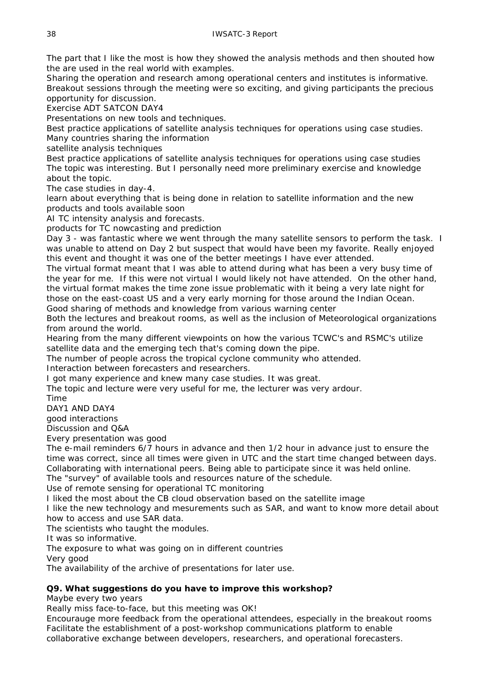The part that I like the most is how they showed the analysis methods and then shouted how the are used in the real world with examples.

Sharing the operation and research among operational centers and institutes is informative. Breakout sessions through the meeting were so exciting, and giving participants the precious opportunity for discussion.

Exercise ADT SATCON DAY4

Presentations on new tools and techniques.

Best practice applications of satellite analysis techniques for operations using case studies. Many countries sharing the information

satellite analysis techniques

Best practice applications of satellite analysis techniques for operations using case studies The topic was interesting. But I personally need more preliminary exercise and knowledge about the topic.

The case studies in day-4.

learn about everything that is being done in relation to satellite information and the new products and tools available soon

AI TC intensity analysis and forecasts.

products for TC nowcasting and prediction

Day 3 - was fantastic where we went through the many satellite sensors to perform the task. I was unable to attend on Day 2 but suspect that would have been my favorite. Really enjoyed this event and thought it was one of the better meetings I have ever attended.

The virtual format meant that I was able to attend during what has been a very busy time of the year for me. If this were not virtual I would likely not have attended. On the other hand, the virtual format makes the time zone issue problematic with it being a very late night for those on the east-coast US and a very early morning for those around the Indian Ocean.

Good sharing of methods and knowledge from various warning center

Both the lectures and breakout rooms, as well as the inclusion of Meteorological organizations from around the world.

Hearing from the many different viewpoints on how the various TCWC's and RSMC's utilize satellite data and the emerging tech that's coming down the pipe.

The number of people across the tropical cyclone community who attended.

Interaction between forecasters and researchers.

I got many experience and knew many case studies. It was great.

The topic and lecture were very useful for me, the lecturer was very ardour. Time

DAY1 AND DAY4

good interactions

Discussion and Q&A

Every presentation was good

The e-mail reminders 6/7 hours in advance and then 1/2 hour in advance just to ensure the time was correct, since all times were given in UTC and the start time changed between days. Collaborating with international peers. Being able to participate since it was held online.

The "survey" of available tools and resources nature of the schedule.

Use of remote sensing for operational TC monitoring

I liked the most about the CB cloud observation based on the satellite image

I like the new technology and mesurements such as SAR, and want to know more detail about how to access and use SAR data.

The scientists who taught the modules.

It was so informative.

The exposure to what was going on in different countries

Very good

The availability of the archive of presentations for later use.

#### **Q9. What suggestions do you have to improve this workshop?**

Maybe every two years

Really miss face-to-face, but this meeting was OK!

Encourauge more feedback from the operational attendees, especially in the breakout rooms Facilitate the establishment of a post-workshop communications platform to enable collaborative exchange between developers, researchers, and operational forecasters.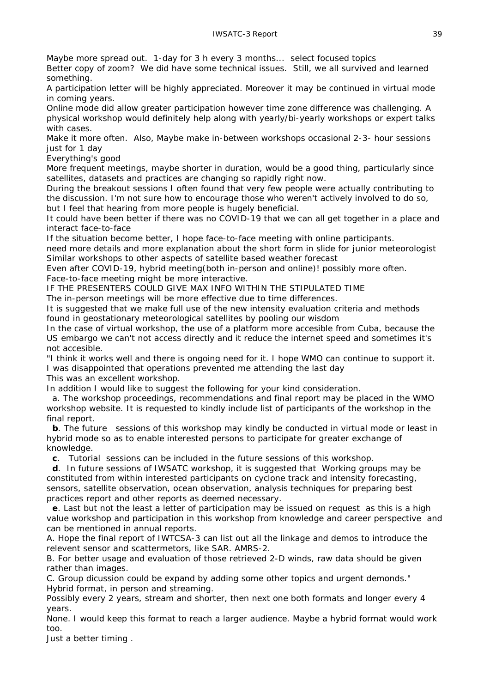Maybe more spread out. 1-day for 3 h every 3 months... select focused topics

Better copy of zoom? We did have some technical issues. Still, we all survived and learned something.

A participation letter will be highly appreciated. Moreover it may be continued in virtual mode in coming years.

Online mode did allow greater participation however time zone difference was challenging. A physical workshop would definitely help along with yearly/bi-yearly workshops or expert talks with cases.

Make it more often. Also, Maybe make in-between workshops occasional 2-3- hour sessions just for 1 day

Everything's good

More frequent meetings, maybe shorter in duration, would be a good thing, particularly since satellites, datasets and practices are changing so rapidly right now.

During the breakout sessions I often found that very few people were actually contributing to the discussion. I'm not sure how to encourage those who weren't actively involved to do so, but I feel that hearing from more people is hugely beneficial.

It could have been better if there was no COVID-19 that we can all get together in a place and interact face-to-face

If the situation become better, I hope face-to-face meeting with online participants.

need more details and more explanation about the short form in slide for junior meteorologist Similar workshops to other aspects of satellite based weather forecast

Even after COVID-19, hybrid meeting(both in-person and online)! possibly more often. Face-to-face meeting might be more interactive.

IF THE PRESENTERS COULD GIVE MAX INFO WITHIN THE STIPULATED TIME

The in-person meetings will be more effective due to time differences.

It is suggested that we make full use of the new intensity evaluation criteria and methods found in geostationary meteorological satellites by pooling our wisdom

In the case of virtual workshop, the use of a platform more accesible from Cuba, because the US embargo we can't not access directly and it reduce the internet speed and sometimes it's not accesible.

"I think it works well and there is ongoing need for it. I hope WMO can continue to support it. I was disappointed that operations prevented me attending the last day

This was an excellent workshop.

In addition I would like to suggest the following for your kind consideration.

 a. The workshop proceedings, recommendations and final report may be placed in the WMO workshop website. It is requested to kindly include list of participants of the workshop in the final report.

**b**. The future sessions of this workshop may kindly be conducted in virtual mode or least in hybrid mode so as to enable interested persons to participate for greater exchange of knowledge.

**c**. Tutorial sessions can be included in the future sessions of this workshop.

 **d**. In future sessions of IWSATC workshop, it is suggested that Working groups may be constituted from within interested participants on cyclone track and intensity forecasting, sensors, satellite observation, ocean observation, analysis techniques for preparing best practices report and other reports as deemed necessary.

 **e**. Last but not the least a letter of participation may be issued on request as this is a high value workshop and participation in this workshop from knowledge and career perspective and can be mentioned in annual reports.

A. Hope the final report of IWTCSA-3 can list out all the linkage and demos to introduce the relevent sensor and scattermetors, like SAR. AMRS-2.

B. For better usage and evaluation of those retrieved 2-D winds, raw data should be given rather than images.

C. Group dicussion could be expand by adding some other topics and urgent demonds." Hybrid format, in person and streaming.

Possibly every 2 years, stream and shorter, then next one both formats and longer every 4 years.

None. I would keep this format to reach a larger audience. Maybe a hybrid format would work too.

Just a better timing .